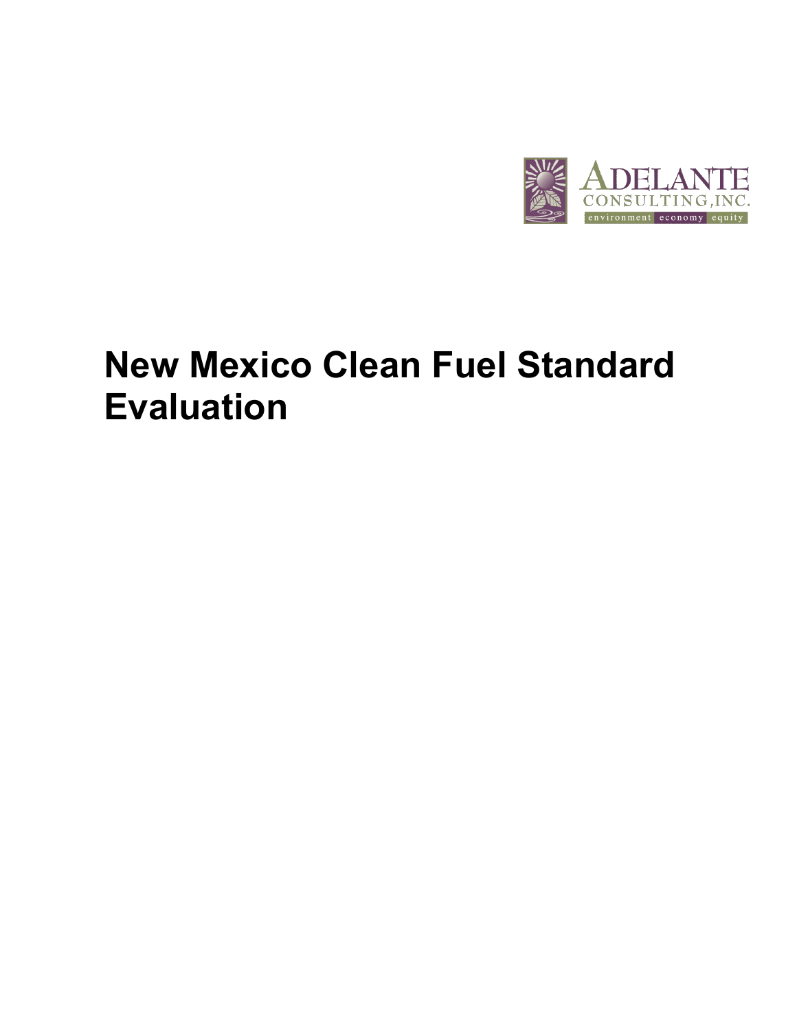

# **New Mexico Clean Fuel Standard Evaluation**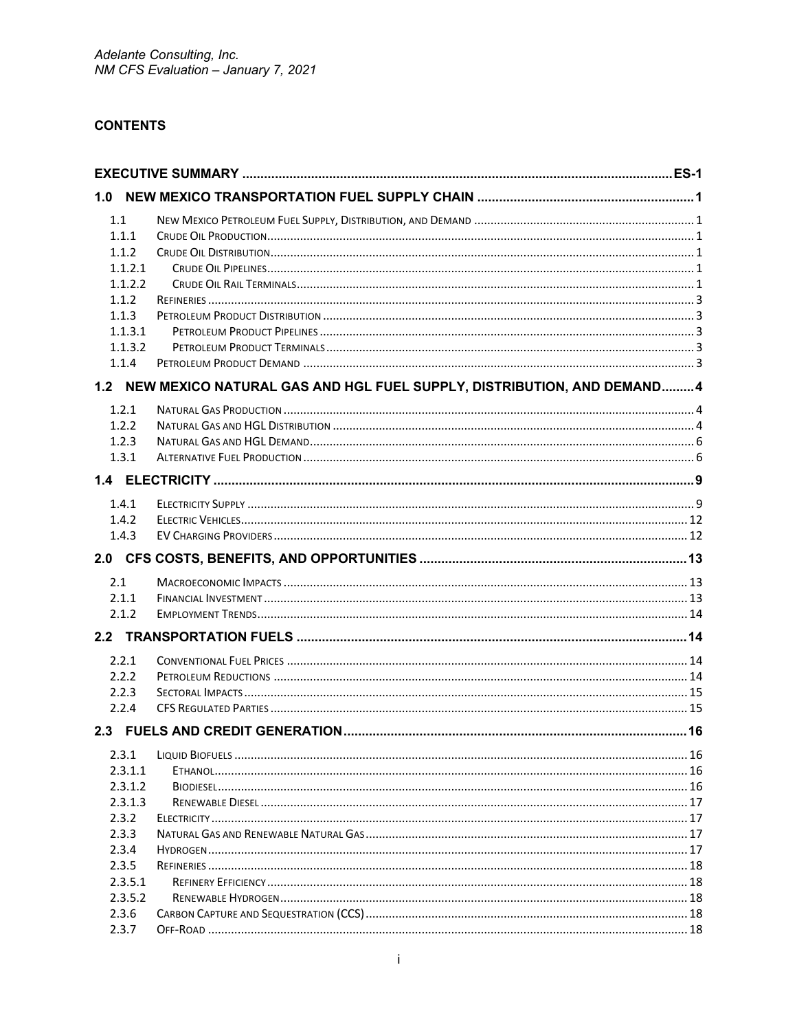# **CONTENTS**

| 1.0     |                                                                            |  |
|---------|----------------------------------------------------------------------------|--|
| 1.1     |                                                                            |  |
| 1.1.1   |                                                                            |  |
| 1.1.2   |                                                                            |  |
| 1.1.2.1 |                                                                            |  |
| 1.1.2.2 |                                                                            |  |
| 1.1.2   |                                                                            |  |
| 1.1.3   |                                                                            |  |
| 1.1.3.1 |                                                                            |  |
| 1.1.3.2 |                                                                            |  |
| 1.1.4   |                                                                            |  |
|         | 1.2 NEW MEXICO NATURAL GAS AND HGL FUEL SUPPLY, DISTRIBUTION, AND DEMAND 4 |  |
| 1.2.1   |                                                                            |  |
| 1.2.2   |                                                                            |  |
| 1.2.3   |                                                                            |  |
| 1.3.1   |                                                                            |  |
|         |                                                                            |  |
| 1.4.1   |                                                                            |  |
| 1.4.2   |                                                                            |  |
| 1.4.3   |                                                                            |  |
|         |                                                                            |  |
| 2.1     |                                                                            |  |
| 2.1.1   |                                                                            |  |
| 2.1.2   |                                                                            |  |
|         |                                                                            |  |
| 2.2.1   |                                                                            |  |
| 2.2.2   |                                                                            |  |
| 2.2.3   |                                                                            |  |
| 2.2.4   |                                                                            |  |
|         |                                                                            |  |
| 2.3.1   |                                                                            |  |
| 2.3.1.1 |                                                                            |  |
| 2.3.1.2 |                                                                            |  |
| 2.3.1.3 |                                                                            |  |
| 2.3.2   |                                                                            |  |
| 2.3.3   |                                                                            |  |
| 2.3.4   |                                                                            |  |
| 2.3.5   |                                                                            |  |
| 2.3.5.1 |                                                                            |  |
| 2.3.5.2 |                                                                            |  |
| 2.3.6   |                                                                            |  |
| 2.3.7   |                                                                            |  |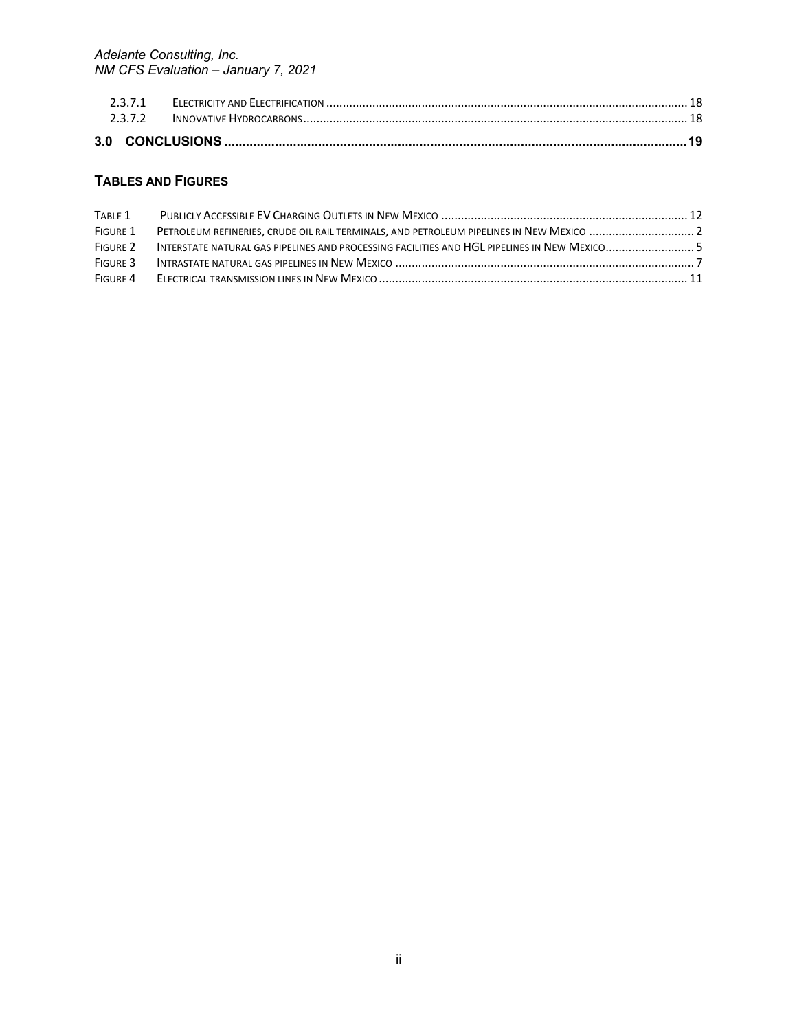# **TABLES AND FIGURES**

| TABLE 1  |                                                                                          |  |
|----------|------------------------------------------------------------------------------------------|--|
| FIGURE 1 | PETROLEUM REFINERIES, CRUDE OIL RAIL TERMINALS, AND PETROLEUM PIPELINES IN NEW MEXICO  2 |  |
| FIGURE 2 |                                                                                          |  |
| FIGURE 3 |                                                                                          |  |
| FIGURE 4 |                                                                                          |  |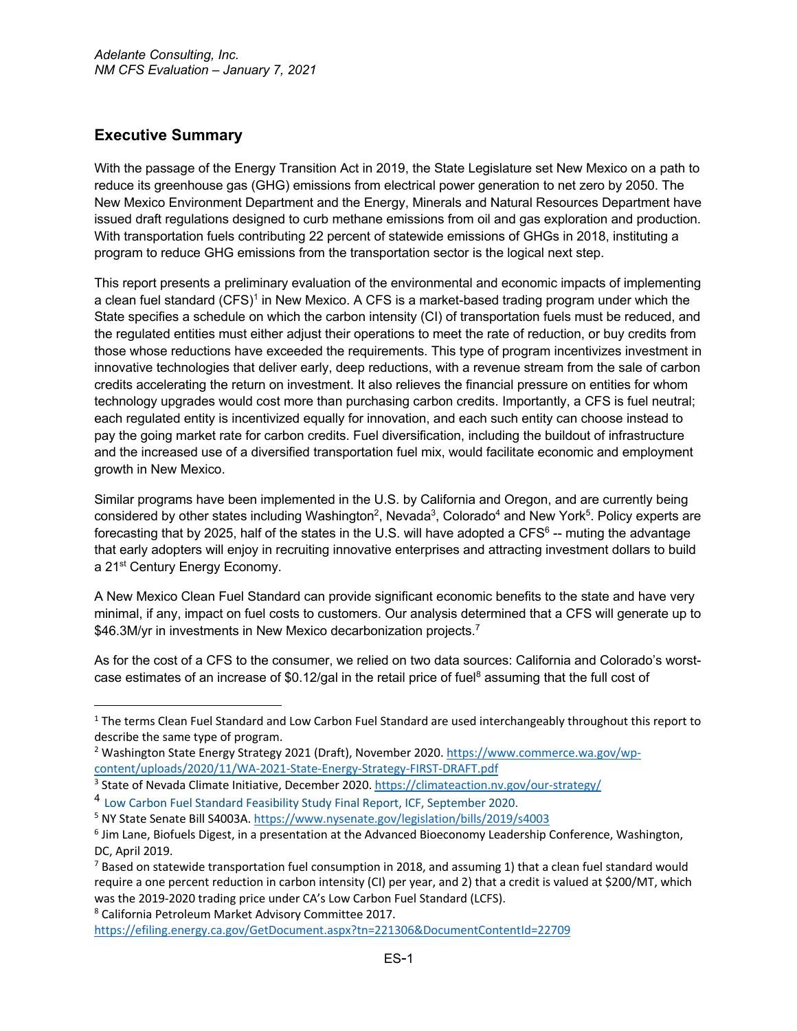# **Executive Summary**

With the passage of the Energy Transition Act in 2019, the State Legislature set New Mexico on a path to reduce its greenhouse gas (GHG) emissions from electrical power generation to net zero by 2050. The New Mexico Environment Department and the Energy, Minerals and Natural Resources Department have issued draft regulations designed to curb methane emissions from oil and gas exploration and production. With transportation fuels contributing 22 percent of statewide emissions of GHGs in 2018, instituting a program to reduce GHG emissions from the transportation sector is the logical next step.

This report presents a preliminary evaluation of the environmental and economic impacts of implementing a clean fuel standard (CFS)<sup>1</sup> in New Mexico. A CFS is a market-based trading program under which the State specifies a schedule on which the carbon intensity (CI) of transportation fuels must be reduced, and the regulated entities must either adjust their operations to meet the rate of reduction, or buy credits from those whose reductions have exceeded the requirements. This type of program incentivizes investment in innovative technologies that deliver early, deep reductions, with a revenue stream from the sale of carbon credits accelerating the return on investment. It also relieves the financial pressure on entities for whom technology upgrades would cost more than purchasing carbon credits. Importantly, a CFS is fuel neutral; each regulated entity is incentivized equally for innovation, and each such entity can choose instead to pay the going market rate for carbon credits. Fuel diversification, including the buildout of infrastructure and the increased use of a diversified transportation fuel mix, would facilitate economic and employment growth in New Mexico.

Similar programs have been implemented in the U.S. by California and Oregon, and are currently being considered by other states including Washington<sup>2</sup>, Nevada<sup>3</sup>, Colorado<sup>4</sup> and New York<sup>5</sup>. Policy experts are forecasting that by 2025, half of the states in the U.S. will have adopted a CFS $<sup>6</sup>$  -- muting the advantage</sup> that early adopters will enjoy in recruiting innovative enterprises and attracting investment dollars to build a 21<sup>st</sup> Century Energy Economy.

A New Mexico Clean Fuel Standard can provide significant economic benefits to the state and have very minimal, if any, impact on fuel costs to customers. Our analysis determined that a CFS will generate up to \$46.3M/yr in investments in New Mexico decarbonization projects.<sup>7</sup>

As for the cost of a CFS to the consumer, we relied on two data sources: California and Colorado's worstcase estimates of an increase of  $$0.12/gal$  in the retail price of fuel<sup>8</sup> assuming that the full cost of

<sup>8</sup> California Petroleum Market Advisory Committee 2017.

 $1$  The terms Clean Fuel Standard and Low Carbon Fuel Standard are used interchangeably throughout this report to describe the same type of program.

<sup>2</sup> Washington State Energy Strategy 2021 (Draft), November 2020. https://www.commerce.wa.gov/wpcontent/uploads/2020/11/WA-2021-State-Energy-Strategy-FIRST-DRAFT.pdf 3 State of Nevada Climate Initiative, December 2020. https://climateaction.nv.gov/our-strategy/

<sup>4</sup> Low Carbon Fuel Standard Feasibility Study Final Report, ICF, September 2020.

<sup>&</sup>lt;sup>5</sup> NY State Senate Bill S4003A. https://www.nysenate.gov/legislation/bills/2019/s4003<br><sup>6</sup> Jim Lane, Biofuels Digest, in a presentation at the Advanced Bioeconomy Leadership Conference, Washington, DC, April 2019.

 $7$  Based on statewide transportation fuel consumption in 2018, and assuming 1) that a clean fuel standard would require a one percent reduction in carbon intensity (CI) per year, and 2) that a credit is valued at \$200/MT, which was the 2019-2020 trading price under CA's Low Carbon Fuel Standard (LCFS).

https://efiling.energy.ca.gov/GetDocument.aspx?tn=221306&DocumentContentId=22709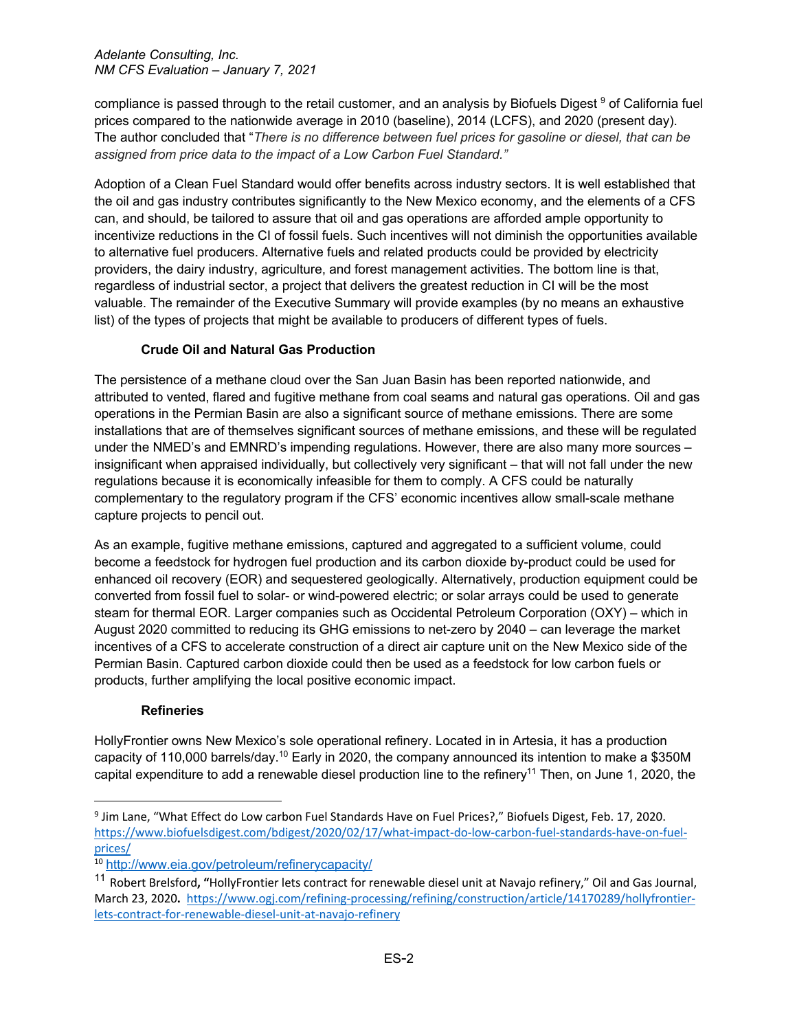compliance is passed through to the retail customer, and an analysis by Biofuels Digest 9 of California fuel prices compared to the nationwide average in 2010 (baseline), 2014 (LCFS), and 2020 (present day). The author concluded that "*There is no difference between fuel prices for gasoline or diesel, that can be assigned from price data to the impact of a Low Carbon Fuel Standard."*

Adoption of a Clean Fuel Standard would offer benefits across industry sectors. It is well established that the oil and gas industry contributes significantly to the New Mexico economy, and the elements of a CFS can, and should, be tailored to assure that oil and gas operations are afforded ample opportunity to incentivize reductions in the CI of fossil fuels. Such incentives will not diminish the opportunities available to alternative fuel producers. Alternative fuels and related products could be provided by electricity providers, the dairy industry, agriculture, and forest management activities. The bottom line is that, regardless of industrial sector, a project that delivers the greatest reduction in CI will be the most valuable. The remainder of the Executive Summary will provide examples (by no means an exhaustive list) of the types of projects that might be available to producers of different types of fuels.

## **Crude Oil and Natural Gas Production**

The persistence of a methane cloud over the San Juan Basin has been reported nationwide, and attributed to vented, flared and fugitive methane from coal seams and natural gas operations. Oil and gas operations in the Permian Basin are also a significant source of methane emissions. There are some installations that are of themselves significant sources of methane emissions, and these will be regulated under the NMED's and EMNRD's impending regulations. However, there are also many more sources – insignificant when appraised individually, but collectively very significant – that will not fall under the new regulations because it is economically infeasible for them to comply. A CFS could be naturally complementary to the regulatory program if the CFS' economic incentives allow small-scale methane capture projects to pencil out.

As an example, fugitive methane emissions, captured and aggregated to a sufficient volume, could become a feedstock for hydrogen fuel production and its carbon dioxide by-product could be used for enhanced oil recovery (EOR) and sequestered geologically. Alternatively, production equipment could be converted from fossil fuel to solar- or wind-powered electric; or solar arrays could be used to generate steam for thermal EOR. Larger companies such as Occidental Petroleum Corporation (OXY) – which in August 2020 committed to reducing its GHG emissions to net-zero by 2040 – can leverage the market incentives of a CFS to accelerate construction of a direct air capture unit on the New Mexico side of the Permian Basin. Captured carbon dioxide could then be used as a feedstock for low carbon fuels or products, further amplifying the local positive economic impact.

# **Refineries**

HollyFrontier owns New Mexico's sole operational refinery. Located in in Artesia, it has a production capacity of 110,000 barrels/day.10 Early in 2020, the company announced its intention to make a \$350M capital expenditure to add a renewable diesel production line to the refinery<sup>11</sup> Then, on June 1, 2020, the

<sup>&</sup>lt;sup>9</sup> Jim Lane, "What Effect do Low carbon Fuel Standards Have on Fuel Prices?," Biofuels Digest, Feb. 17, 2020. https://www.biofuelsdigest.com/bdigest/2020/02/17/what-impact-do-low-carbon-fuel-standards-have-on-fuelprices/<br><sup>10</sup> http://www.eia.gov/petroleum/refinerycapacity/

<sup>11</sup> Robert Brelsford**, "**HollyFrontier lets contract for renewable diesel unit at Navajo refinery," Oil and Gas Journal, March 23, 2020**.** https://www.ogj.com/refining-processing/refining/construction/article/14170289/hollyfrontierlets-contract-for-renewable-diesel-unit-at-navajo-refinery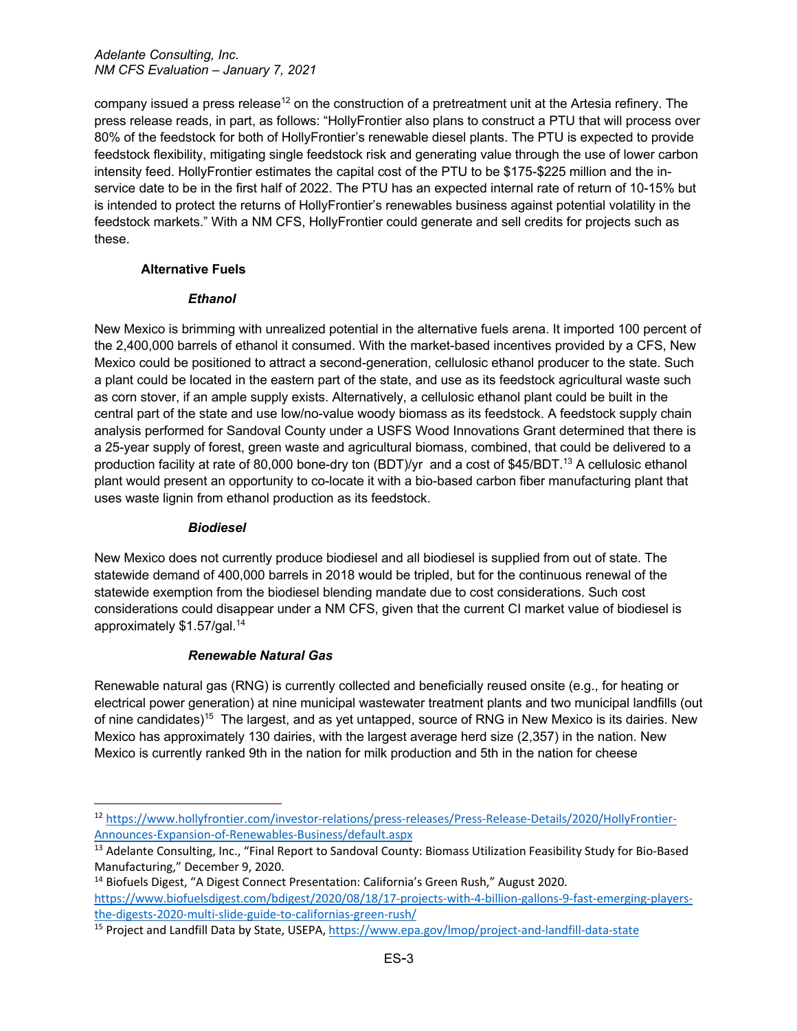company issued a press release<sup>12</sup> on the construction of a pretreatment unit at the Artesia refinery. The press release reads, in part, as follows: "HollyFrontier also plans to construct a PTU that will process over 80% of the feedstock for both of HollyFrontier's renewable diesel plants. The PTU is expected to provide feedstock flexibility, mitigating single feedstock risk and generating value through the use of lower carbon intensity feed. HollyFrontier estimates the capital cost of the PTU to be \$175-\$225 million and the inservice date to be in the first half of 2022. The PTU has an expected internal rate of return of 10-15% but is intended to protect the returns of HollyFrontier's renewables business against potential volatility in the feedstock markets." With a NM CFS, HollyFrontier could generate and sell credits for projects such as these.

## **Alternative Fuels**

## *Ethanol*

New Mexico is brimming with unrealized potential in the alternative fuels arena. It imported 100 percent of the 2,400,000 barrels of ethanol it consumed. With the market-based incentives provided by a CFS, New Mexico could be positioned to attract a second-generation, cellulosic ethanol producer to the state. Such a plant could be located in the eastern part of the state, and use as its feedstock agricultural waste such as corn stover, if an ample supply exists. Alternatively, a cellulosic ethanol plant could be built in the central part of the state and use low/no-value woody biomass as its feedstock. A feedstock supply chain analysis performed for Sandoval County under a USFS Wood Innovations Grant determined that there is a 25-year supply of forest, green waste and agricultural biomass, combined, that could be delivered to a production facility at rate of 80,000 bone-dry ton (BDT)/yr and a cost of \$45/BDT. <sup>13</sup> A cellulosic ethanol plant would present an opportunity to co-locate it with a bio-based carbon fiber manufacturing plant that uses waste lignin from ethanol production as its feedstock.

# *Biodiesel*

New Mexico does not currently produce biodiesel and all biodiesel is supplied from out of state. The statewide demand of 400,000 barrels in 2018 would be tripled, but for the continuous renewal of the statewide exemption from the biodiesel blending mandate due to cost considerations. Such cost considerations could disappear under a NM CFS, given that the current CI market value of biodiesel is approximately \$1.57/gal.14

# *Renewable Natural Gas*

Renewable natural gas (RNG) is currently collected and beneficially reused onsite (e.g., for heating or electrical power generation) at nine municipal wastewater treatment plants and two municipal landfills (out of nine candidates)15 The largest, and as yet untapped, source of RNG in New Mexico is its dairies. New Mexico has approximately 130 dairies, with the largest average herd size (2,357) in the nation. New Mexico is currently ranked 9th in the nation for milk production and 5th in the nation for cheese

<sup>12</sup> https://www.hollyfrontier.com/investor-relations/press-releases/Press-Release-Details/2020/HollyFrontier-

<sup>&</sup>lt;sup>13</sup> Adelante Consulting, Inc., "Final Report to Sandoval County: Biomass Utilization Feasibility Study for Bio-Based Manufacturing," December 9, 2020.

<sup>&</sup>lt;sup>14</sup> Biofuels Digest, "A Digest Connect Presentation: California's Green Rush," August 2020. https://www.biofuelsdigest.com/bdigest/2020/08/18/17-projects-with-4-billion-gallons-9-fast-emerging-playersthe-digests-2020-multi-slide-guide-to-californias-green-rush/

<sup>&</sup>lt;sup>15</sup> Project and Landfill Data by State, USEPA, https://www.epa.gov/lmop/project-and-landfill-data-state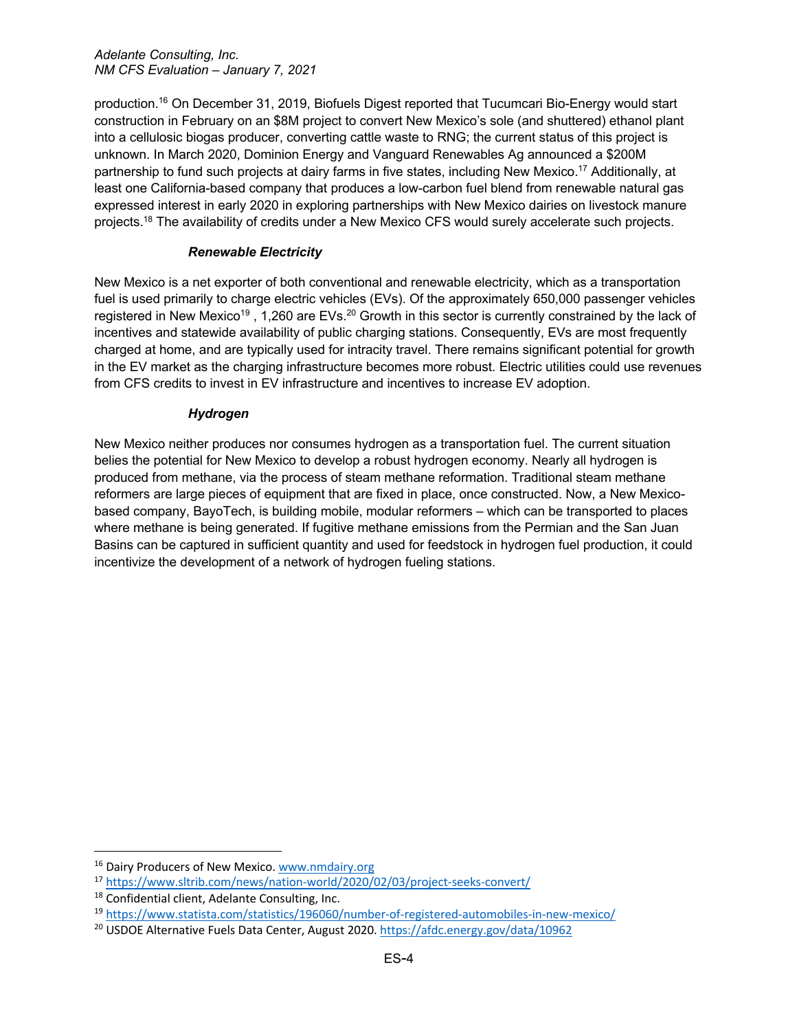production.16 On December 31, 2019, Biofuels Digest reported that Tucumcari Bio-Energy would start construction in February on an \$8M project to convert New Mexico's sole (and shuttered) ethanol plant into a cellulosic biogas producer, converting cattle waste to RNG; the current status of this project is unknown. In March 2020, Dominion Energy and Vanguard Renewables Ag announced a \$200M partnership to fund such projects at dairy farms in five states, including New Mexico.<sup>17</sup> Additionally, at least one California-based company that produces a low-carbon fuel blend from renewable natural gas expressed interest in early 2020 in exploring partnerships with New Mexico dairies on livestock manure projects.<sup>18</sup> The availability of credits under a New Mexico CFS would surely accelerate such projects.

## *Renewable Electricity*

New Mexico is a net exporter of both conventional and renewable electricity, which as a transportation fuel is used primarily to charge electric vehicles (EVs). Of the approximately 650,000 passenger vehicles registered in New Mexico<sup>19</sup>, 1,260 are EVs.<sup>20</sup> Growth in this sector is currently constrained by the lack of incentives and statewide availability of public charging stations. Consequently, EVs are most frequently charged at home, and are typically used for intracity travel. There remains significant potential for growth in the EV market as the charging infrastructure becomes more robust. Electric utilities could use revenues from CFS credits to invest in EV infrastructure and incentives to increase EV adoption.

## *Hydrogen*

New Mexico neither produces nor consumes hydrogen as a transportation fuel. The current situation belies the potential for New Mexico to develop a robust hydrogen economy. Nearly all hydrogen is produced from methane, via the process of steam methane reformation. Traditional steam methane reformers are large pieces of equipment that are fixed in place, once constructed. Now, a New Mexicobased company, BayoTech, is building mobile, modular reformers – which can be transported to places where methane is being generated. If fugitive methane emissions from the Permian and the San Juan Basins can be captured in sufficient quantity and used for feedstock in hydrogen fuel production, it could incentivize the development of a network of hydrogen fueling stations.

<sup>&</sup>lt;sup>16</sup> Dairy Producers of New Mexico. www.nmdairy.org<br><sup>17</sup> https://www.sltrib.com/news/nation-world/2020/02/03/project-seeks-convert/

<sup>18</sup> Confidential client, Adelante Consulting, Inc.

<sup>&</sup>lt;sup>19</sup> https://www.statista.com/statistics/196060/number-of-registered-automobiles-in-new-mexico/<br><sup>20</sup> USDOE Alternative Fuels Data Center, August 2020. https://afdc.energy.gov/data/10962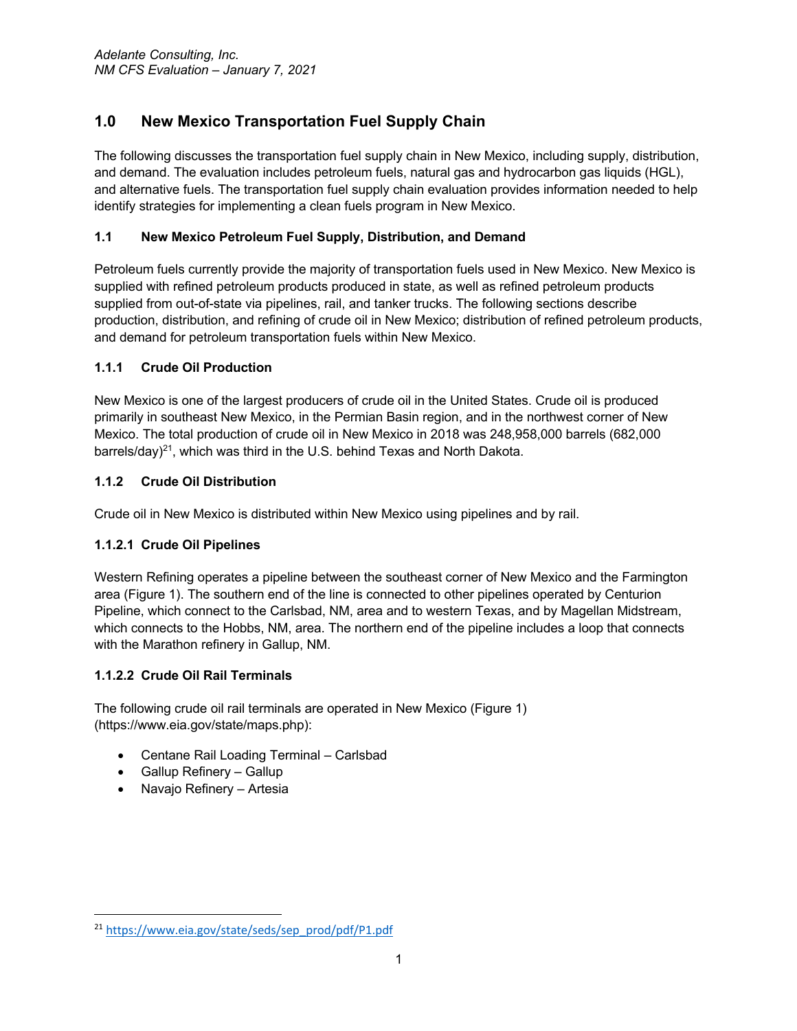# **1.0 New Mexico Transportation Fuel Supply Chain**

The following discusses the transportation fuel supply chain in New Mexico, including supply, distribution, and demand. The evaluation includes petroleum fuels, natural gas and hydrocarbon gas liquids (HGL), and alternative fuels. The transportation fuel supply chain evaluation provides information needed to help identify strategies for implementing a clean fuels program in New Mexico.

# **1.1 New Mexico Petroleum Fuel Supply, Distribution, and Demand**

Petroleum fuels currently provide the majority of transportation fuels used in New Mexico. New Mexico is supplied with refined petroleum products produced in state, as well as refined petroleum products supplied from out-of-state via pipelines, rail, and tanker trucks. The following sections describe production, distribution, and refining of crude oil in New Mexico; distribution of refined petroleum products, and demand for petroleum transportation fuels within New Mexico.

# **1.1.1 Crude Oil Production**

New Mexico is one of the largest producers of crude oil in the United States. Crude oil is produced primarily in southeast New Mexico, in the Permian Basin region, and in the northwest corner of New Mexico. The total production of crude oil in New Mexico in 2018 was 248,958,000 barrels (682,000 barrels/day) $^{21}$ , which was third in the U.S. behind Texas and North Dakota.

# **1.1.2 Crude Oil Distribution**

Crude oil in New Mexico is distributed within New Mexico using pipelines and by rail.

# **1.1.2.1 Crude Oil Pipelines**

Western Refining operates a pipeline between the southeast corner of New Mexico and the Farmington area (Figure 1). The southern end of the line is connected to other pipelines operated by Centurion Pipeline, which connect to the Carlsbad, NM, area and to western Texas, and by Magellan Midstream, which connects to the Hobbs, NM, area. The northern end of the pipeline includes a loop that connects with the Marathon refinery in Gallup, NM.

# **1.1.2.2 Crude Oil Rail Terminals**

The following crude oil rail terminals are operated in New Mexico (Figure 1) (https://www.eia.gov/state/maps.php):

- Centane Rail Loading Terminal Carlsbad
- Gallup Refinery Gallup
- Navajo Refinery Artesia

<sup>21</sup> https://www.eia.gov/state/seds/sep\_prod/pdf/P1.pdf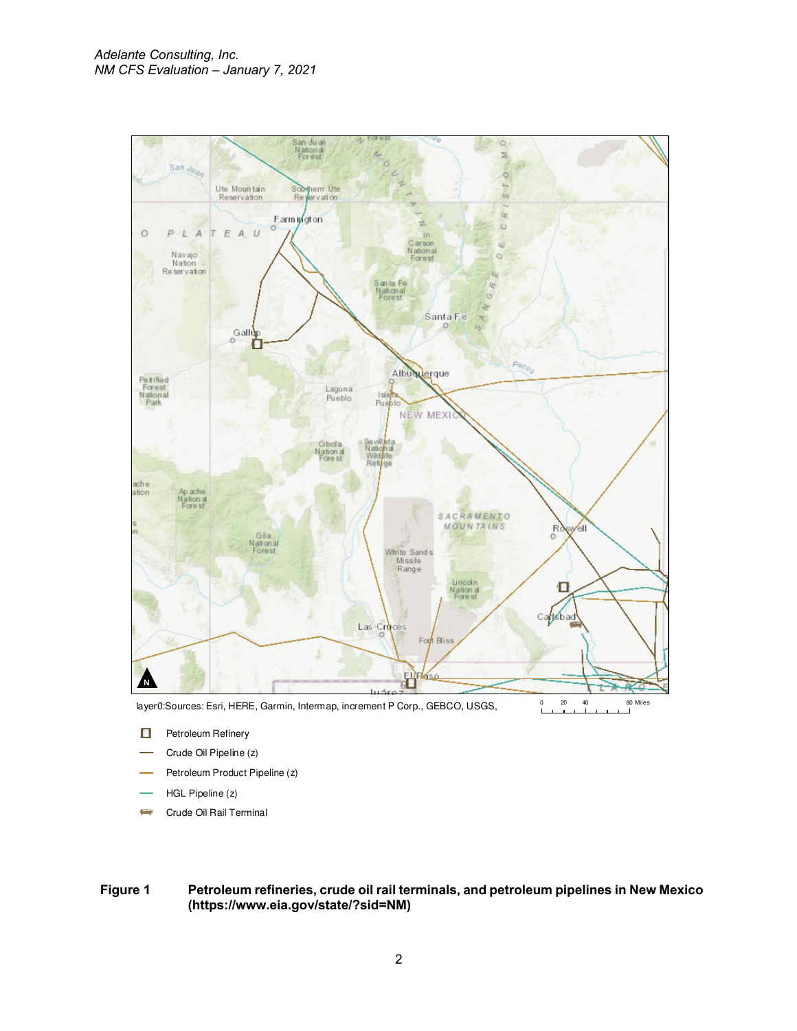

Ager0:Sources: Esri, HERE, Garmin, Intermap, increment P Corp., GEBCO, USGS, 0 20 40 80 Miles

- E Petroleum Refinery
- Crude Oil Pipeline (z)
- Petroleum Product Pipeline (z)
- HGL Pipeline (z)
- Crude Oil Rail Terminal  $\Rightarrow$

**Figure 1 Petroleum refineries, crude oil rail terminals, and petroleum pipelines in New Mexico (https://www.eia.gov/state/?sid=NM)**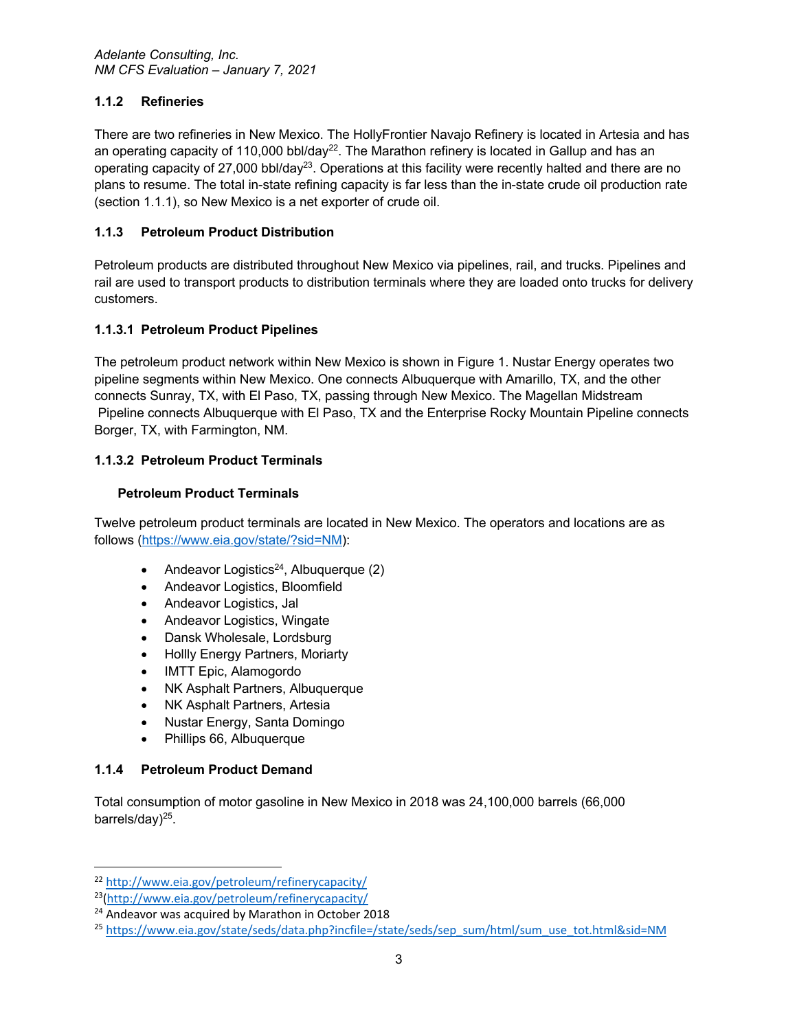# **1.1.2 Refineries**

There are two refineries in New Mexico. The HollyFrontier Navajo Refinery is located in Artesia and has an operating capacity of 110,000 bbl/day<sup>22</sup>. The Marathon refinery is located in Gallup and has an operating capacity of 27,000 bbl/day<sup>23</sup>. Operations at this facility were recently halted and there are no plans to resume. The total in-state refining capacity is far less than the in-state crude oil production rate (section 1.1.1), so New Mexico is a net exporter of crude oil.

## **1.1.3 Petroleum Product Distribution**

Petroleum products are distributed throughout New Mexico via pipelines, rail, and trucks. Pipelines and rail are used to transport products to distribution terminals where they are loaded onto trucks for delivery customers.

## **1.1.3.1 Petroleum Product Pipelines**

The petroleum product network within New Mexico is shown in Figure 1. Nustar Energy operates two pipeline segments within New Mexico. One connects Albuquerque with Amarillo, TX, and the other connects Sunray, TX, with El Paso, TX, passing through New Mexico. The Magellan Midstream Pipeline connects Albuquerque with El Paso, TX and the Enterprise Rocky Mountain Pipeline connects Borger, TX, with Farmington, NM.

## **1.1.3.2 Petroleum Product Terminals**

## **Petroleum Product Terminals**

Twelve petroleum product terminals are located in New Mexico. The operators and locations are as follows (https://www.eia.gov/state/?sid=NM):

- Andeavor Logistics<sup>24</sup>, Albuquerque  $(2)$
- Andeavor Logistics, Bloomfield
- Andeavor Logistics, Jal
- Andeavor Logistics, Wingate
- Dansk Wholesale, Lordsburg
- Hollly Energy Partners, Moriarty
- IMTT Epic, Alamogordo
- NK Asphalt Partners, Albuquerque
- NK Asphalt Partners, Artesia
- Nustar Energy, Santa Domingo
- Phillips 66, Albuquerque

#### **1.1.4 Petroleum Product Demand**

Total consumption of motor gasoline in New Mexico in 2018 was 24,100,000 barrels (66,000 barrels/day $)^{25}$ .

<sup>22</sup> http://www.eia.gov/petroleum/refinerycapacity/

<sup>23(</sup>http://www.eia.gov/petroleum/refinerycapacity/

<sup>&</sup>lt;sup>24</sup> Andeavor was acquired by Marathon in October 2018

<sup>&</sup>lt;sup>25</sup> https://www.eia.gov/state/seds/data.php?incfile=/state/seds/sep\_sum/html/sum\_use\_tot.html&sid=NM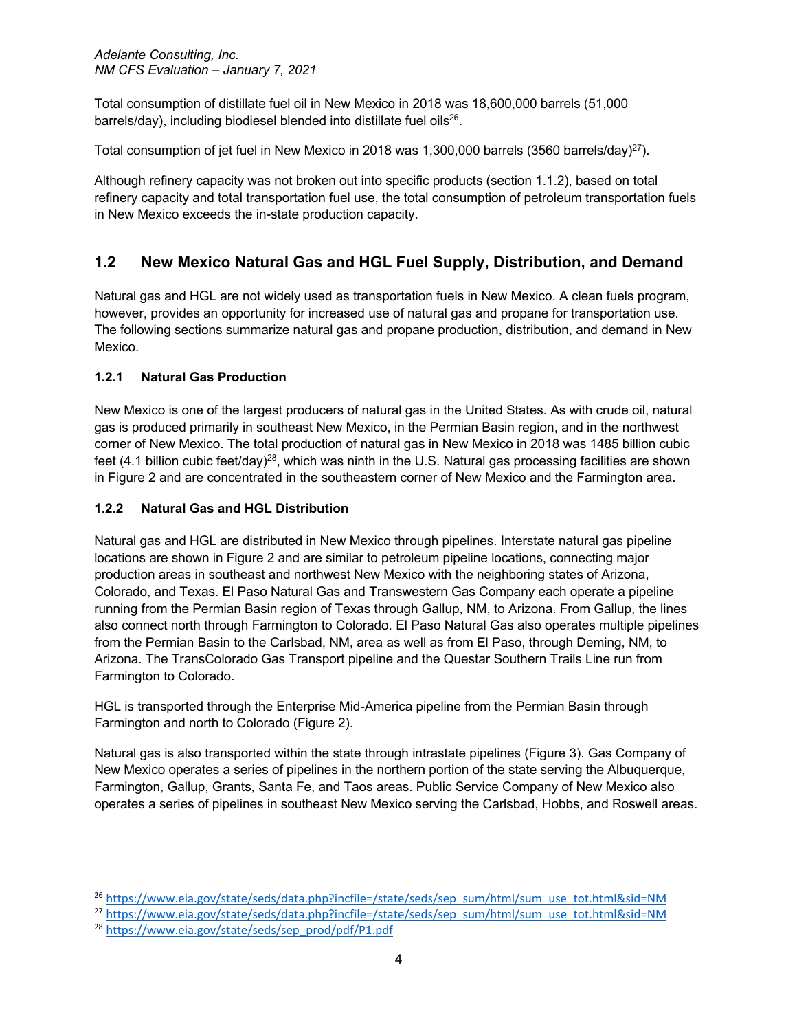Total consumption of distillate fuel oil in New Mexico in 2018 was 18,600,000 barrels (51,000 barrels/day), including biodiesel blended into distillate fuel oils<sup>26</sup>.

Total consumption of jet fuel in New Mexico in 2018 was 1,300,000 barrels (3560 barrels/day)<sup>27</sup>).

Although refinery capacity was not broken out into specific products (section 1.1.2), based on total refinery capacity and total transportation fuel use, the total consumption of petroleum transportation fuels in New Mexico exceeds the in-state production capacity.

# **1.2 New Mexico Natural Gas and HGL Fuel Supply, Distribution, and Demand**

Natural gas and HGL are not widely used as transportation fuels in New Mexico. A clean fuels program, however, provides an opportunity for increased use of natural gas and propane for transportation use. The following sections summarize natural gas and propane production, distribution, and demand in New Mexico.

# **1.2.1 Natural Gas Production**

New Mexico is one of the largest producers of natural gas in the United States. As with crude oil, natural gas is produced primarily in southeast New Mexico, in the Permian Basin region, and in the northwest corner of New Mexico. The total production of natural gas in New Mexico in 2018 was 1485 billion cubic feet (4.1 billion cubic feet/day)<sup>28</sup>, which was ninth in the U.S. Natural gas processing facilities are shown in Figure 2 and are concentrated in the southeastern corner of New Mexico and the Farmington area.

## **1.2.2 Natural Gas and HGL Distribution**

Natural gas and HGL are distributed in New Mexico through pipelines. Interstate natural gas pipeline locations are shown in Figure 2 and are similar to petroleum pipeline locations, connecting major production areas in southeast and northwest New Mexico with the neighboring states of Arizona, Colorado, and Texas. El Paso Natural Gas and Transwestern Gas Company each operate a pipeline running from the Permian Basin region of Texas through Gallup, NM, to Arizona. From Gallup, the lines also connect north through Farmington to Colorado. El Paso Natural Gas also operates multiple pipelines from the Permian Basin to the Carlsbad, NM, area as well as from El Paso, through Deming, NM, to Arizona. The TransColorado Gas Transport pipeline and the Questar Southern Trails Line run from Farmington to Colorado.

HGL is transported through the Enterprise Mid-America pipeline from the Permian Basin through Farmington and north to Colorado (Figure 2).

Natural gas is also transported within the state through intrastate pipelines (Figure 3). Gas Company of New Mexico operates a series of pipelines in the northern portion of the state serving the Albuquerque, Farmington, Gallup, Grants, Santa Fe, and Taos areas. Public Service Company of New Mexico also operates a series of pipelines in southeast New Mexico serving the Carlsbad, Hobbs, and Roswell areas.

<sup>26</sup> https://www.eia.gov/state/seds/data.php?incfile=/state/seds/sep\_sum/html/sum\_use\_tot.html&sid=NM

<sup>&</sup>lt;sup>27</sup> https://www.eia.gov/state/seds/data.php?incfile=/state/seds/sep\_sum/html/sum\_use\_tot.html&sid=NM

<sup>28</sup> https://www.eia.gov/state/seds/sep\_prod/pdf/P1.pdf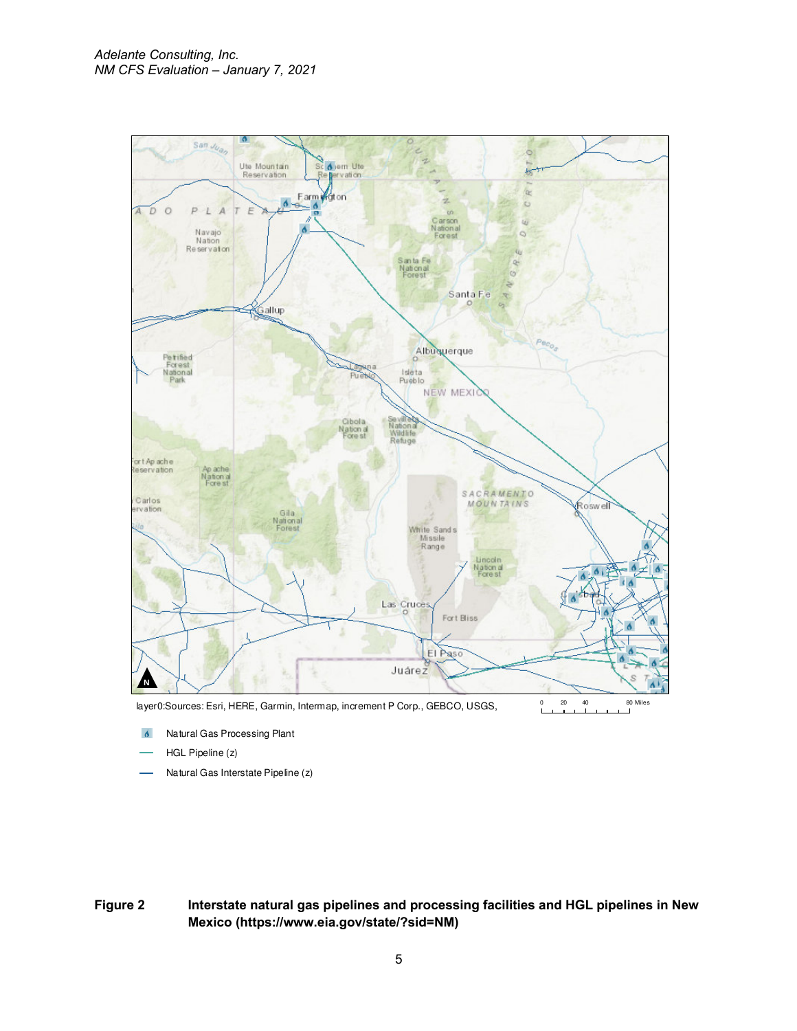

Natural Gas Processing Plant  $\mathbf{\hat{o}}$ 

- HGL Pipeline (z)
- Natural Gas Interstate Pipeline (z)

**Figure 2 Interstate natural gas pipelines and processing facilities and HGL pipelines in New Mexico (https://www.eia.gov/state/?sid=NM)**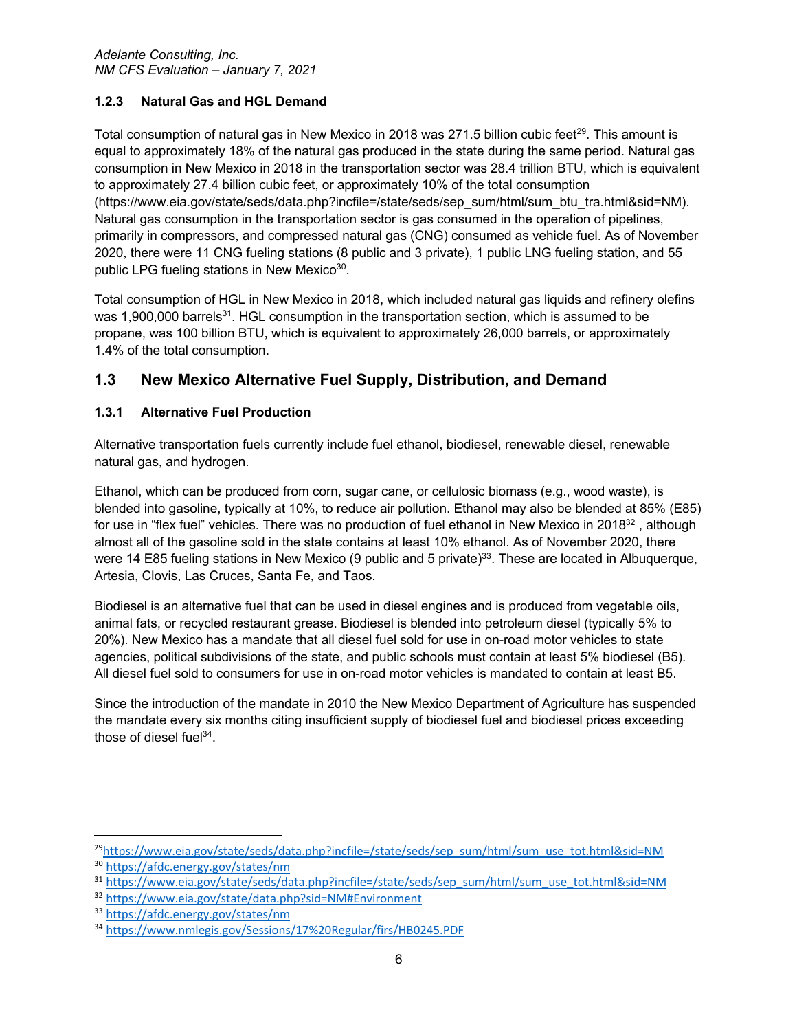# **1.2.3 Natural Gas and HGL Demand**

Total consumption of natural gas in New Mexico in 2018 was 271.5 billion cubic feet<sup>29</sup>. This amount is equal to approximately 18% of the natural gas produced in the state during the same period. Natural gas consumption in New Mexico in 2018 in the transportation sector was 28.4 trillion BTU, which is equivalent to approximately 27.4 billion cubic feet, or approximately 10% of the total consumption (https://www.eia.gov/state/seds/data.php?incfile=/state/seds/sep\_sum/html/sum\_btu\_tra.html&sid=NM). Natural gas consumption in the transportation sector is gas consumed in the operation of pipelines, primarily in compressors, and compressed natural gas (CNG) consumed as vehicle fuel. As of November 2020, there were 11 CNG fueling stations (8 public and 3 private), 1 public LNG fueling station, and 55 public LPG fueling stations in New Mexico<sup>30</sup>.

Total consumption of HGL in New Mexico in 2018, which included natural gas liquids and refinery olefins was 1,900,000 barrels<sup>31</sup>. HGL consumption in the transportation section, which is assumed to be propane, was 100 billion BTU, which is equivalent to approximately 26,000 barrels, or approximately 1.4% of the total consumption.

# **1.3 New Mexico Alternative Fuel Supply, Distribution, and Demand**

# **1.3.1 Alternative Fuel Production**

Alternative transportation fuels currently include fuel ethanol, biodiesel, renewable diesel, renewable natural gas, and hydrogen.

Ethanol, which can be produced from corn, sugar cane, or cellulosic biomass (e.g., wood waste), is blended into gasoline, typically at 10%, to reduce air pollution. Ethanol may also be blended at 85% (E85) for use in "flex fuel" vehicles. There was no production of fuel ethanol in New Mexico in 2018<sup>32</sup>, although almost all of the gasoline sold in the state contains at least 10% ethanol. As of November 2020, there were 14 E85 fueling stations in New Mexico (9 public and 5 private)<sup>33</sup>. These are located in Albuquerque, Artesia, Clovis, Las Cruces, Santa Fe, and Taos.

Biodiesel is an alternative fuel that can be used in diesel engines and is produced from vegetable oils, animal fats, or recycled restaurant grease. Biodiesel is blended into petroleum diesel (typically 5% to 20%). New Mexico has a mandate that all diesel fuel sold for use in on-road motor vehicles to state agencies, political subdivisions of the state, and public schools must contain at least 5% biodiesel (B5). All diesel fuel sold to consumers for use in on-road motor vehicles is mandated to contain at least B5.

Since the introduction of the mandate in 2010 the New Mexico Department of Agriculture has suspended the mandate every six months citing insufficient supply of biodiesel fuel and biodiesel prices exceeding those of diesel fuel $34$ .

<sup>29</sup>https://www.eia.gov/state/seds/data.php?incfile=/state/seds/sep\_sum/html/sum\_use\_tot.html&sid=NM <sup>30</sup> https://afdc.energy.gov/states/nm

<sup>31</sup> https://www.eia.gov/state/seds/data.php?incfile=/state/seds/sep\_sum/html/sum\_use\_tot.html&sid=NM

<sup>32</sup> https://www.eia.gov/state/data.php?sid=NM#Environment

<sup>33</sup> https://afdc.energy.gov/states/nm

<sup>34</sup> https://www.nmlegis.gov/Sessions/17%20Regular/firs/HB0245.PDF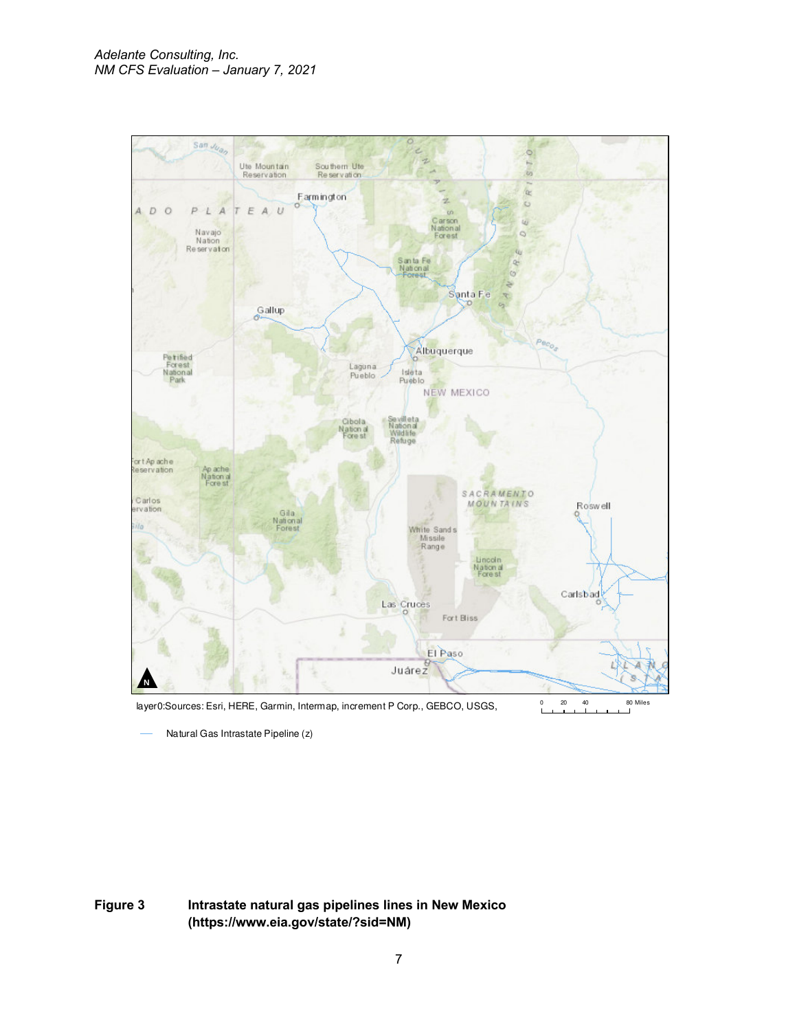

Natural Gas Intrastate Pipeline (z)

**Figure 3 Intrastate natural gas pipelines lines in New Mexico (https://www.eia.gov/state/?sid=NM)**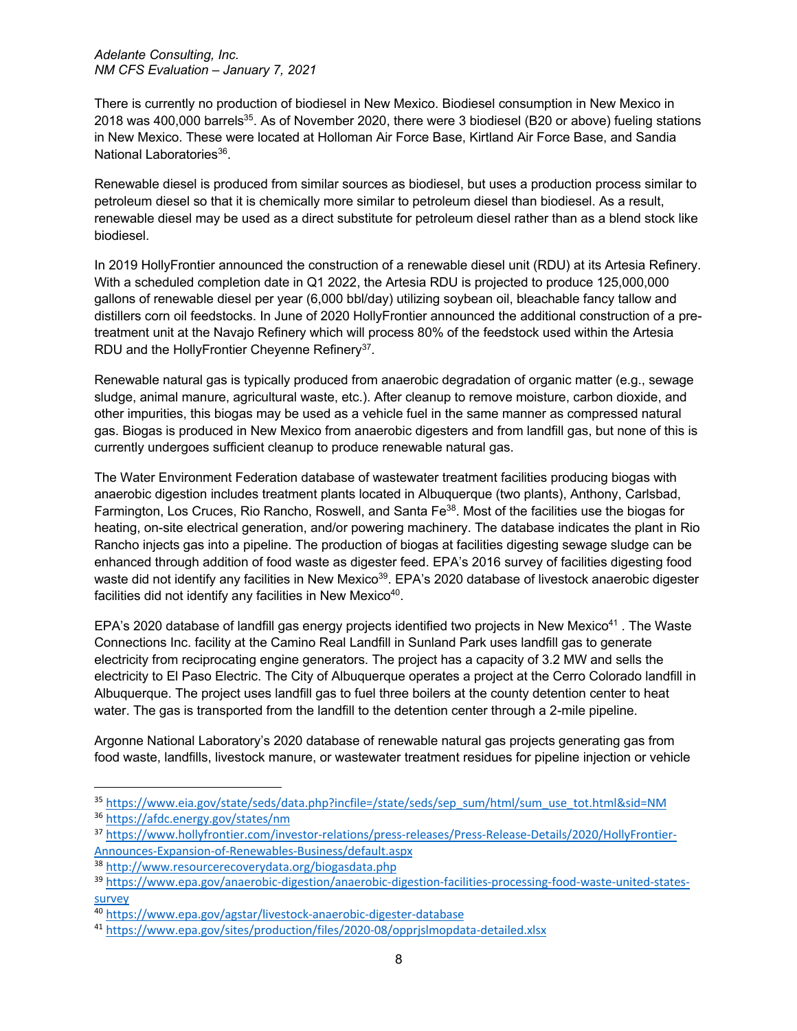There is currently no production of biodiesel in New Mexico. Biodiesel consumption in New Mexico in 2018 was 400,000 barrels<sup>35</sup>. As of November 2020, there were 3 biodiesel (B20 or above) fueling stations in New Mexico. These were located at Holloman Air Force Base, Kirtland Air Force Base, and Sandia National Laboratories<sup>36</sup>.

Renewable diesel is produced from similar sources as biodiesel, but uses a production process similar to petroleum diesel so that it is chemically more similar to petroleum diesel than biodiesel. As a result, renewable diesel may be used as a direct substitute for petroleum diesel rather than as a blend stock like biodiesel.

In 2019 HollyFrontier announced the construction of a renewable diesel unit (RDU) at its Artesia Refinery. With a scheduled completion date in Q1 2022, the Artesia RDU is projected to produce 125,000,000 gallons of renewable diesel per year (6,000 bbl/day) utilizing soybean oil, bleachable fancy tallow and distillers corn oil feedstocks. In June of 2020 HollyFrontier announced the additional construction of a pretreatment unit at the Navajo Refinery which will process 80% of the feedstock used within the Artesia RDU and the HollyFrontier Cheyenne Refinery<sup>37</sup>.

Renewable natural gas is typically produced from anaerobic degradation of organic matter (e.g., sewage sludge, animal manure, agricultural waste, etc.). After cleanup to remove moisture, carbon dioxide, and other impurities, this biogas may be used as a vehicle fuel in the same manner as compressed natural gas. Biogas is produced in New Mexico from anaerobic digesters and from landfill gas, but none of this is currently undergoes sufficient cleanup to produce renewable natural gas.

The Water Environment Federation database of wastewater treatment facilities producing biogas with anaerobic digestion includes treatment plants located in Albuquerque (two plants), Anthony, Carlsbad, Farmington, Los Cruces, Rio Rancho, Roswell, and Santa Fe<sup>38</sup>. Most of the facilities use the biogas for heating, on-site electrical generation, and/or powering machinery. The database indicates the plant in Rio Rancho injects gas into a pipeline. The production of biogas at facilities digesting sewage sludge can be enhanced through addition of food waste as digester feed. EPA's 2016 survey of facilities digesting food waste did not identify any facilities in New Mexico<sup>39</sup>. EPA's 2020 database of livestock anaerobic digester facilities did not identify any facilities in New Mexico<sup>40</sup>.

EPA's 2020 database of landfill gas energy projects identified two projects in New Mexico<sup>41</sup>. The Waste Connections Inc. facility at the Camino Real Landfill in Sunland Park uses landfill gas to generate electricity from reciprocating engine generators. The project has a capacity of 3.2 MW and sells the electricity to El Paso Electric. The City of Albuquerque operates a project at the Cerro Colorado landfill in Albuquerque. The project uses landfill gas to fuel three boilers at the county detention center to heat water. The gas is transported from the landfill to the detention center through a 2-mile pipeline.

Argonne National Laboratory's 2020 database of renewable natural gas projects generating gas from food waste, landfills, livestock manure, or wastewater treatment residues for pipeline injection or vehicle

<sup>35</sup> https://www.eia.gov/state/seds/data.php?incfile=/state/seds/sep\_sum/html/sum\_use\_tot.html&sid=NM

<sup>36</sup> https://afdc.energy.gov/states/nm

<sup>37</sup> https://www.hollyfrontier.com/investor-relations/press-releases/Press-Release-Details/2020/HollyFrontier-Announces-Expansion-of-Renewables-Business/default.aspx

<sup>38</sup> http://www.resourcerecoverydata.org/biogasdata.php

<sup>39</sup> https://www.epa.gov/anaerobic-digestion/anaerobic-digestion-facilities-processing-food-waste-united-statessurvey

<sup>40</sup> https://www.epa.gov/agstar/livestock-anaerobic-digester-database

<sup>41</sup> https://www.epa.gov/sites/production/files/2020-08/opprjslmopdata-detailed.xlsx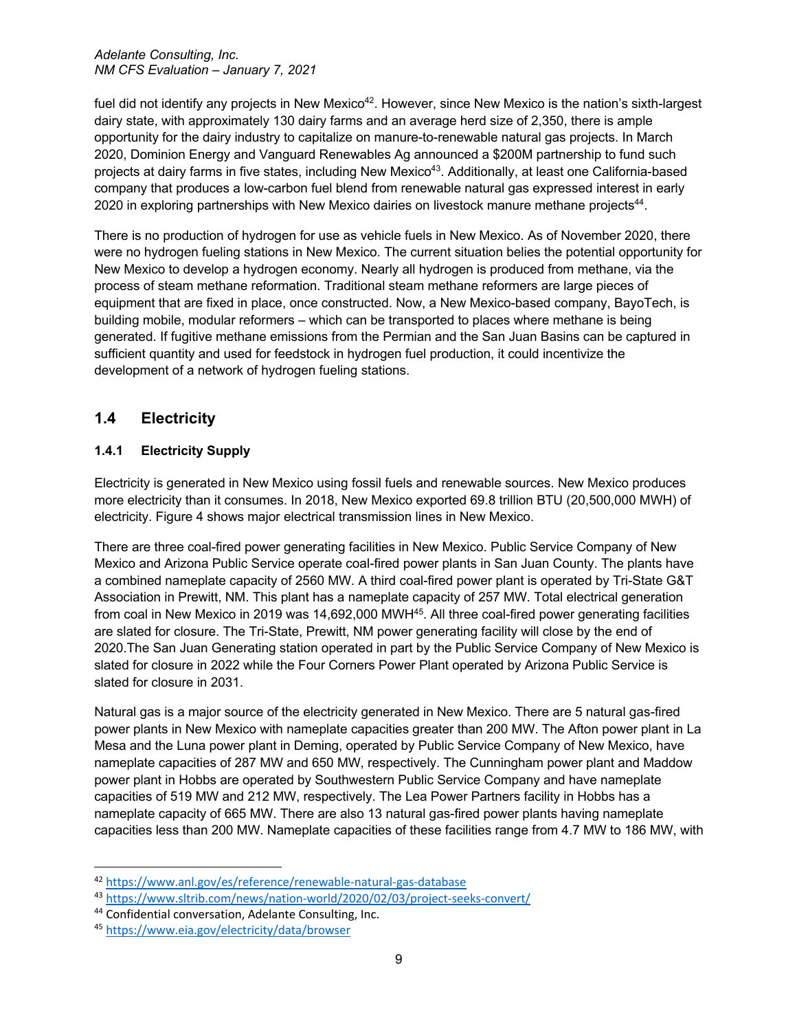fuel did not identify any projects in New Mexico<sup>42</sup>. However, since New Mexico is the nation's sixth-largest dairy state, with approximately 130 dairy farms and an average herd size of 2,350, there is ample opportunity for the dairy industry to capitalize on manure-to-renewable natural gas projects. In March 2020, Dominion Energy and Vanguard Renewables Ag announced a \$200M partnership to fund such projects at dairy farms in five states, including New Mexico<sup>43</sup>. Additionally, at least one California-based company that produces a low-carbon fuel blend from renewable natural gas expressed interest in early 2020 in exploring partnerships with New Mexico dairies on livestock manure methane projects<sup>44</sup>.

There is no production of hydrogen for use as vehicle fuels in New Mexico. As of November 2020, there were no hydrogen fueling stations in New Mexico. The current situation belies the potential opportunity for New Mexico to develop a hydrogen economy. Nearly all hydrogen is produced from methane, via the process of steam methane reformation. Traditional steam methane reformers are large pieces of equipment that are fixed in place, once constructed. Now, a New Mexico-based company, BayoTech, is building mobile, modular reformers – which can be transported to places where methane is being generated. If fugitive methane emissions from the Permian and the San Juan Basins can be captured in sufficient quantity and used for feedstock in hydrogen fuel production, it could incentivize the development of a network of hydrogen fueling stations.

# **1.4 Electricity**

# **1.4.1 Electricity Supply**

Electricity is generated in New Mexico using fossil fuels and renewable sources. New Mexico produces more electricity than it consumes. In 2018, New Mexico exported 69.8 trillion BTU (20,500,000 MWH) of electricity. Figure 4 shows major electrical transmission lines in New Mexico.

There are three coal-fired power generating facilities in New Mexico. Public Service Company of New Mexico and Arizona Public Service operate coal-fired power plants in San Juan County. The plants have a combined nameplate capacity of 2560 MW. A third coal-fired power plant is operated by Tri-State G&T Association in Prewitt, NM. This plant has a nameplate capacity of 257 MW. Total electrical generation from coal in New Mexico in 2019 was 14,692,000 MWH<sup>45</sup>. All three coal-fired power generating facilities are slated for closure. The Tri-State, Prewitt, NM power generating facility will close by the end of 2020.The San Juan Generating station operated in part by the Public Service Company of New Mexico is slated for closure in 2022 while the Four Corners Power Plant operated by Arizona Public Service is slated for closure in 2031.

Natural gas is a major source of the electricity generated in New Mexico. There are 5 natural gas-fired power plants in New Mexico with nameplate capacities greater than 200 MW. The Afton power plant in La Mesa and the Luna power plant in Deming, operated by Public Service Company of New Mexico, have nameplate capacities of 287 MW and 650 MW, respectively. The Cunningham power plant and Maddow power plant in Hobbs are operated by Southwestern Public Service Company and have nameplate capacities of 519 MW and 212 MW, respectively. The Lea Power Partners facility in Hobbs has a nameplate capacity of 665 MW. There are also 13 natural gas-fired power plants having nameplate capacities less than 200 MW. Nameplate capacities of these facilities range from 4.7 MW to 186 MW, with

<sup>42</sup> https://www.anl.gov/es/reference/renewable-natural-gas-database

<sup>43</sup> https://www.sltrib.com/news/nation-world/2020/02/03/project-seeks-convert/

<sup>44</sup> Confidential conversation, Adelante Consulting, Inc.

<sup>45</sup> https://www.eia.gov/electricity/data/browser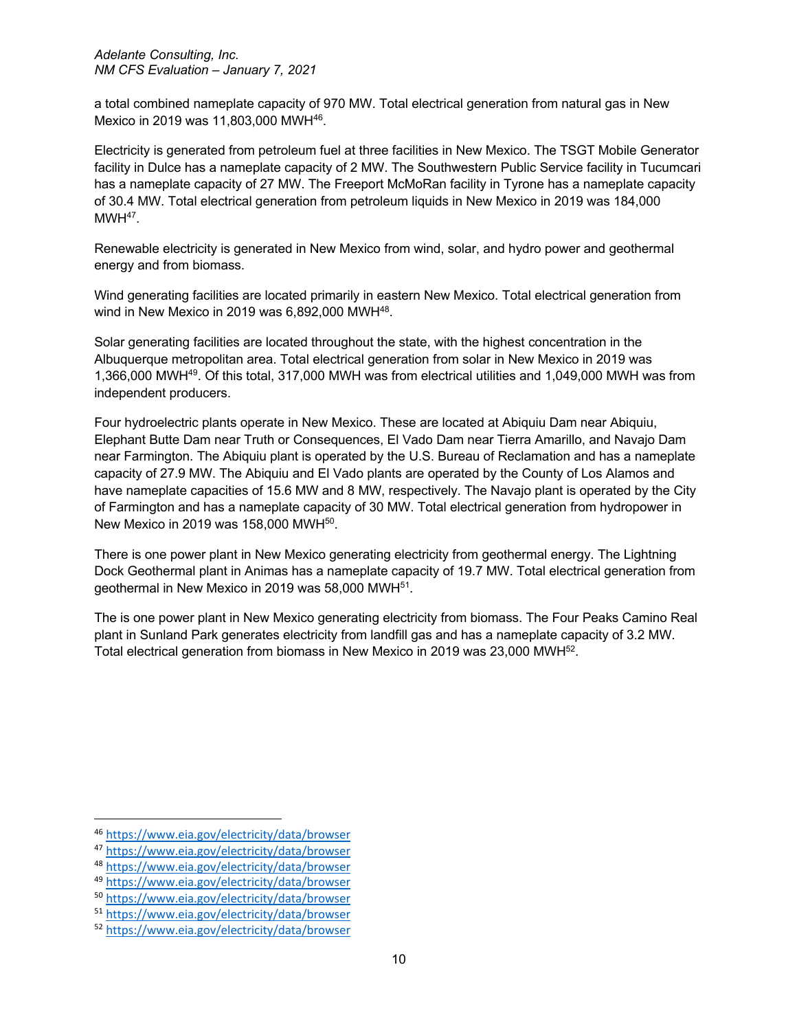a total combined nameplate capacity of 970 MW. Total electrical generation from natural gas in New Mexico in 2019 was 11,803,000 MWH<sup>46</sup>.

Electricity is generated from petroleum fuel at three facilities in New Mexico. The TSGT Mobile Generator facility in Dulce has a nameplate capacity of 2 MW. The Southwestern Public Service facility in Tucumcari has a nameplate capacity of 27 MW. The Freeport McMoRan facility in Tyrone has a nameplate capacity of 30.4 MW. Total electrical generation from petroleum liquids in New Mexico in 2019 was 184,000  $MWH^{47}$ .

Renewable electricity is generated in New Mexico from wind, solar, and hydro power and geothermal energy and from biomass.

Wind generating facilities are located primarily in eastern New Mexico. Total electrical generation from wind in New Mexico in 2019 was 6,892,000 MWH<sup>48</sup>.

Solar generating facilities are located throughout the state, with the highest concentration in the Albuquerque metropolitan area. Total electrical generation from solar in New Mexico in 2019 was 1,366,000 MWH49. Of this total, 317,000 MWH was from electrical utilities and 1,049,000 MWH was from independent producers.

Four hydroelectric plants operate in New Mexico. These are located at Abiquiu Dam near Abiquiu, Elephant Butte Dam near Truth or Consequences, El Vado Dam near Tierra Amarillo, and Navajo Dam near Farmington. The Abiquiu plant is operated by the U.S. Bureau of Reclamation and has a nameplate capacity of 27.9 MW. The Abiquiu and El Vado plants are operated by the County of Los Alamos and have nameplate capacities of 15.6 MW and 8 MW, respectively. The Navajo plant is operated by the City of Farmington and has a nameplate capacity of 30 MW. Total electrical generation from hydropower in New Mexico in 2019 was 158,000 MWH50.

There is one power plant in New Mexico generating electricity from geothermal energy. The Lightning Dock Geothermal plant in Animas has a nameplate capacity of 19.7 MW. Total electrical generation from geothermal in New Mexico in 2019 was 58,000 MWH51.

The is one power plant in New Mexico generating electricity from biomass. The Four Peaks Camino Real plant in Sunland Park generates electricity from landfill gas and has a nameplate capacity of 3.2 MW. Total electrical generation from biomass in New Mexico in 2019 was 23,000 MWH52.

<sup>46</sup> https://www.eia.gov/electricity/data/browser<br>47 https://www.eia.gov/electricity/data/browser<br>48 https://www.eia.gov/electricity/data/browser<br>49 https://www.eia.gov/electricity/data/browser<br>50 https://www.eia.gov/electri

<sup>&</sup>lt;sup>51</sup> https://www.eia.gov/electricity/data/browser<br><sup>52</sup> https://www.eia.gov/electricity/data/browser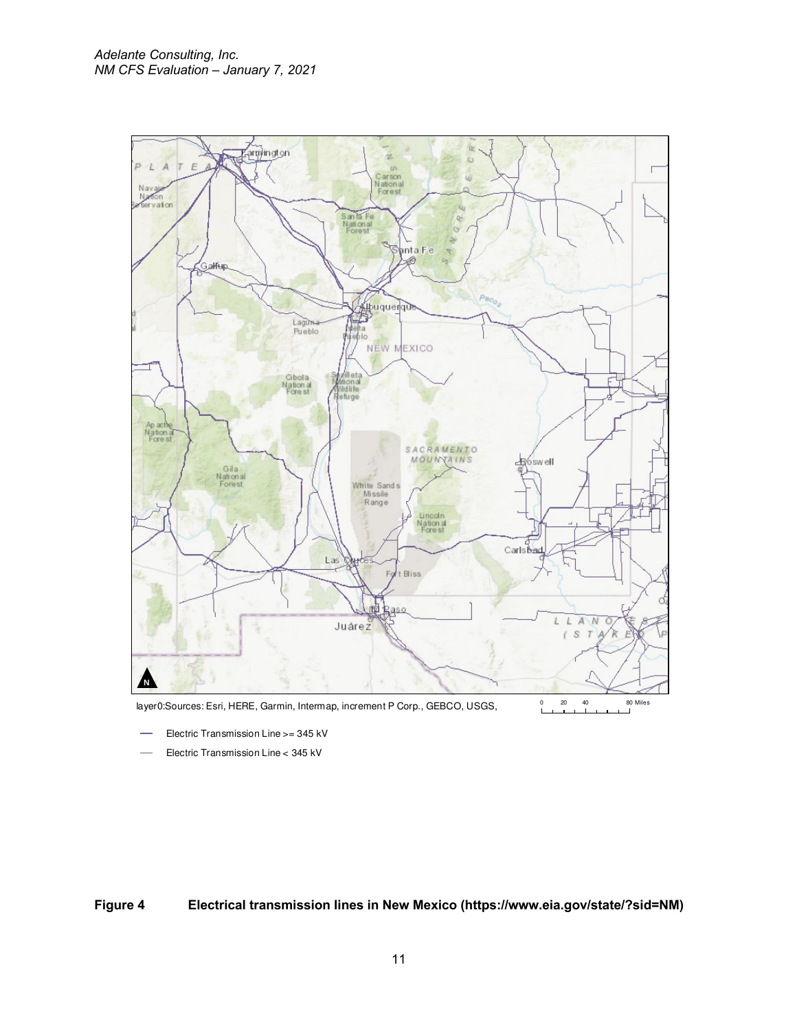

- Electric Transmission Line >= 345 kV
- Electric Transmission Line < 345 kV

**Figure 4 Electrical transmission lines in New Mexico (https://www.eia.gov/state/?sid=NM)**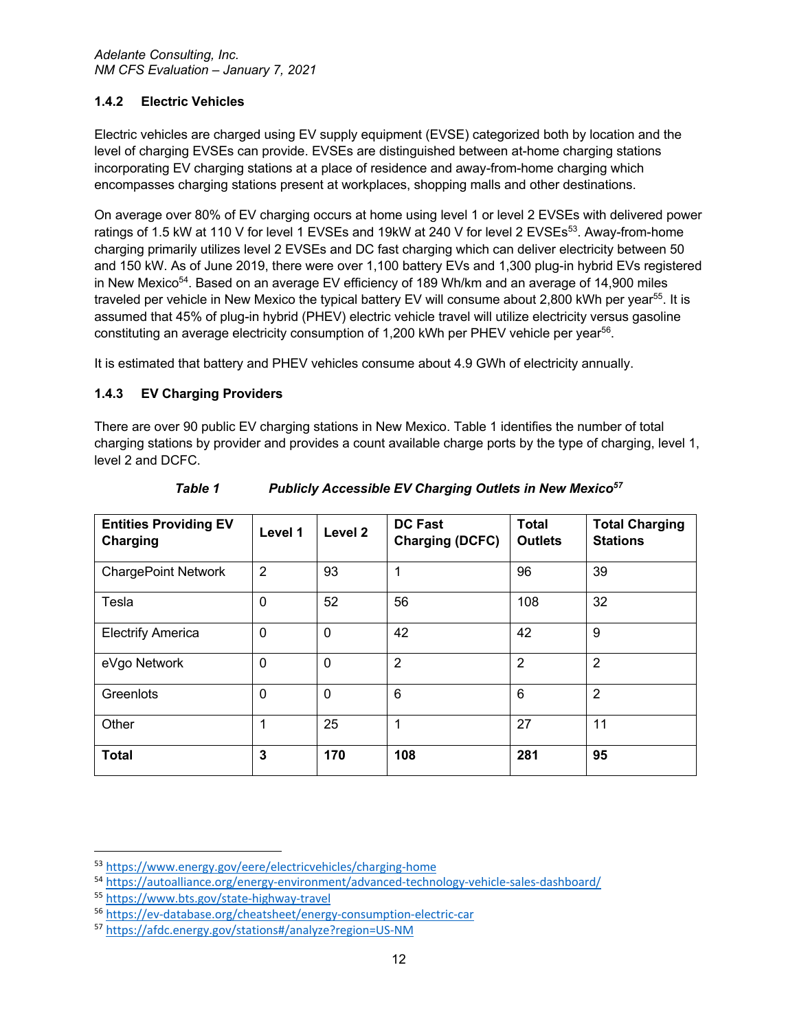## **1.4.2 Electric Vehicles**

Electric vehicles are charged using EV supply equipment (EVSE) categorized both by location and the level of charging EVSEs can provide. EVSEs are distinguished between at-home charging stations incorporating EV charging stations at a place of residence and away-from-home charging which encompasses charging stations present at workplaces, shopping malls and other destinations.

On average over 80% of EV charging occurs at home using level 1 or level 2 EVSEs with delivered power ratings of 1.5 kW at 110 V for level 1 EVSEs and 19kW at 240 V for level 2 EVSEs<sup>53</sup>. Away-from-home charging primarily utilizes level 2 EVSEs and DC fast charging which can deliver electricity between 50 and 150 kW. As of June 2019, there were over 1,100 battery EVs and 1,300 plug-in hybrid EVs registered in New Mexico<sup>54</sup>. Based on an average EV efficiency of 189 Wh/km and an average of 14,900 miles traveled per vehicle in New Mexico the typical battery EV will consume about 2,800 kWh per year<sup>55</sup>. It is assumed that 45% of plug-in hybrid (PHEV) electric vehicle travel will utilize electricity versus gasoline constituting an average electricity consumption of 1,200 kWh per PHEV vehicle per year56.

It is estimated that battery and PHEV vehicles consume about 4.9 GWh of electricity annually.

## **1.4.3 EV Charging Providers**

There are over 90 public EV charging stations in New Mexico. Table 1 identifies the number of total charging stations by provider and provides a count available charge ports by the type of charging, level 1, level 2 and DCFC.

| <b>Entities Providing EV</b><br>Charging | Level 1        | Level 2     | <b>DC Fast</b><br><b>Charging (DCFC)</b> | <b>Total</b><br><b>Outlets</b> | <b>Total Charging</b><br><b>Stations</b> |
|------------------------------------------|----------------|-------------|------------------------------------------|--------------------------------|------------------------------------------|
| <b>ChargePoint Network</b>               | $\overline{2}$ | 93          | 1                                        | 96                             | 39                                       |
| Tesla                                    | $\mathbf 0$    | 52          | 56                                       | 108                            | 32                                       |
| <b>Electrify America</b>                 | $\mathbf{0}$   | 0           | 42                                       | 42                             | 9                                        |
| eVgo Network                             | $\mathbf 0$    | $\mathbf 0$ | $\overline{2}$                           | $\overline{2}$                 | $\overline{2}$                           |
| Greenlots                                | $\Omega$       | $\mathbf 0$ | 6                                        | 6                              | $\overline{2}$                           |
| Other                                    | 1              | 25          | 1                                        | 27                             | 11                                       |
| <b>Total</b>                             | 3              | 170         | 108                                      | 281                            | 95                                       |

*Table 1 Publicly Accessible EV Charging Outlets in New Mexico57* 

<sup>53</sup> https://www.energy.gov/eere/electricvehicles/charging-home

<sup>54</sup> https://autoalliance.org/energy-environment/advanced-technology-vehicle-sales-dashboard/

<sup>55</sup> https://www.bts.gov/state-highway-travel

<sup>56</sup> https://ev-database.org/cheatsheet/energy-consumption-electric-car

<sup>57</sup> https://afdc.energy.gov/stations#/analyze?region=US-NM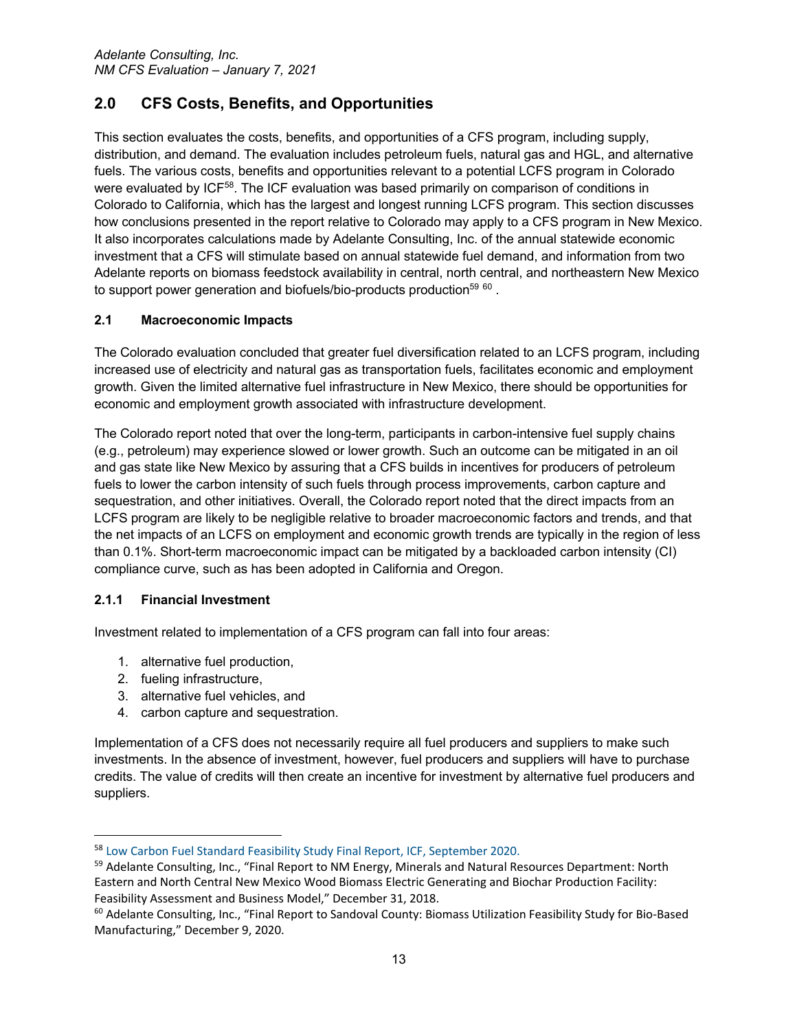# **2.0 CFS Costs, Benefits, and Opportunities**

This section evaluates the costs, benefits, and opportunities of a CFS program, including supply, distribution, and demand. The evaluation includes petroleum fuels, natural gas and HGL, and alternative fuels. The various costs, benefits and opportunities relevant to a potential LCFS program in Colorado were evaluated by ICF<sup>58</sup>. The ICF evaluation was based primarily on comparison of conditions in Colorado to California, which has the largest and longest running LCFS program. This section discusses how conclusions presented in the report relative to Colorado may apply to a CFS program in New Mexico. It also incorporates calculations made by Adelante Consulting, Inc. of the annual statewide economic investment that a CFS will stimulate based on annual statewide fuel demand, and information from two Adelante reports on biomass feedstock availability in central, north central, and northeastern New Mexico to support power generation and biofuels/bio-products production<sup>59 60</sup>.

## **2.1 Macroeconomic Impacts**

The Colorado evaluation concluded that greater fuel diversification related to an LCFS program, including increased use of electricity and natural gas as transportation fuels, facilitates economic and employment growth. Given the limited alternative fuel infrastructure in New Mexico, there should be opportunities for economic and employment growth associated with infrastructure development.

The Colorado report noted that over the long-term, participants in carbon-intensive fuel supply chains (e.g., petroleum) may experience slowed or lower growth. Such an outcome can be mitigated in an oil and gas state like New Mexico by assuring that a CFS builds in incentives for producers of petroleum fuels to lower the carbon intensity of such fuels through process improvements, carbon capture and sequestration, and other initiatives. Overall, the Colorado report noted that the direct impacts from an LCFS program are likely to be negligible relative to broader macroeconomic factors and trends, and that the net impacts of an LCFS on employment and economic growth trends are typically in the region of less than 0.1%. Short-term macroeconomic impact can be mitigated by a backloaded carbon intensity (CI) compliance curve, such as has been adopted in California and Oregon.

#### **2.1.1 Financial Investment**

Investment related to implementation of a CFS program can fall into four areas:

- 1. alternative fuel production,
- 2. fueling infrastructure,
- 3. alternative fuel vehicles, and
- 4. carbon capture and sequestration.

Implementation of a CFS does not necessarily require all fuel producers and suppliers to make such investments. In the absence of investment, however, fuel producers and suppliers will have to purchase credits. The value of credits will then create an incentive for investment by alternative fuel producers and suppliers.

<sup>58</sup> Low Carbon Fuel Standard Feasibility Study Final Report, ICF, September 2020.

<sup>59</sup> Adelante Consulting, Inc., "Final Report to NM Energy, Minerals and Natural Resources Department: North Eastern and North Central New Mexico Wood Biomass Electric Generating and Biochar Production Facility: Feasibility Assessment and Business Model," December 31, 2018.

<sup>&</sup>lt;sup>60</sup> Adelante Consulting, Inc., "Final Report to Sandoval County: Biomass Utilization Feasibility Study for Bio-Based Manufacturing," December 9, 2020.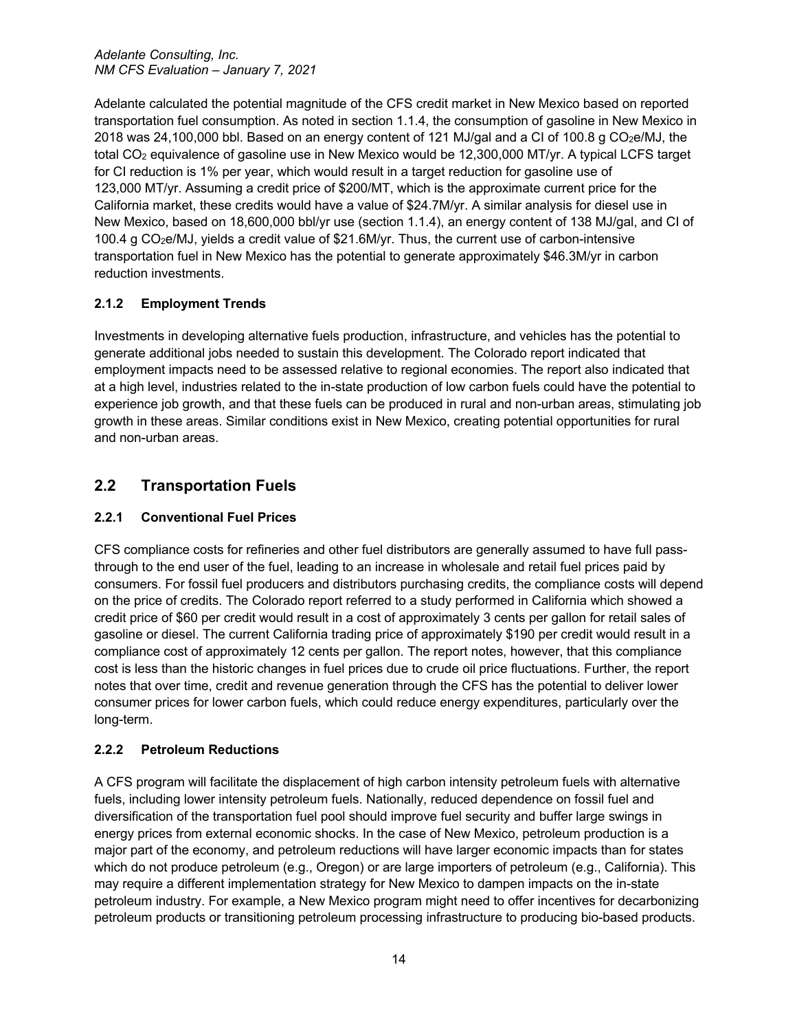Adelante calculated the potential magnitude of the CFS credit market in New Mexico based on reported transportation fuel consumption. As noted in section 1.1.4, the consumption of gasoline in New Mexico in 2018 was 24,100,000 bbl. Based on an energy content of 121 MJ/gal and a CI of 100.8 g CO2e/MJ, the total CO2 equivalence of gasoline use in New Mexico would be 12,300,000 MT/yr. A typical LCFS target for CI reduction is 1% per year, which would result in a target reduction for gasoline use of 123,000 MT/yr. Assuming a credit price of \$200/MT, which is the approximate current price for the California market, these credits would have a value of \$24.7M/yr. A similar analysis for diesel use in New Mexico, based on 18,600,000 bbl/yr use (section 1.1.4), an energy content of 138 MJ/gal, and CI of 100.4 g CO2e/MJ, yields a credit value of \$21.6M/yr. Thus, the current use of carbon-intensive transportation fuel in New Mexico has the potential to generate approximately \$46.3M/yr in carbon reduction investments.

# **2.1.2 Employment Trends**

Investments in developing alternative fuels production, infrastructure, and vehicles has the potential to generate additional jobs needed to sustain this development. The Colorado report indicated that employment impacts need to be assessed relative to regional economies. The report also indicated that at a high level, industries related to the in-state production of low carbon fuels could have the potential to experience job growth, and that these fuels can be produced in rural and non-urban areas, stimulating job growth in these areas. Similar conditions exist in New Mexico, creating potential opportunities for rural and non-urban areas.

# **2.2 Transportation Fuels**

# **2.2.1 Conventional Fuel Prices**

CFS compliance costs for refineries and other fuel distributors are generally assumed to have full passthrough to the end user of the fuel, leading to an increase in wholesale and retail fuel prices paid by consumers. For fossil fuel producers and distributors purchasing credits, the compliance costs will depend on the price of credits. The Colorado report referred to a study performed in California which showed a credit price of \$60 per credit would result in a cost of approximately 3 cents per gallon for retail sales of gasoline or diesel. The current California trading price of approximately \$190 per credit would result in a compliance cost of approximately 12 cents per gallon. The report notes, however, that this compliance cost is less than the historic changes in fuel prices due to crude oil price fluctuations. Further, the report notes that over time, credit and revenue generation through the CFS has the potential to deliver lower consumer prices for lower carbon fuels, which could reduce energy expenditures, particularly over the long-term.

# **2.2.2 Petroleum Reductions**

A CFS program will facilitate the displacement of high carbon intensity petroleum fuels with alternative fuels, including lower intensity petroleum fuels. Nationally, reduced dependence on fossil fuel and diversification of the transportation fuel pool should improve fuel security and buffer large swings in energy prices from external economic shocks. In the case of New Mexico, petroleum production is a major part of the economy, and petroleum reductions will have larger economic impacts than for states which do not produce petroleum (e.g., Oregon) or are large importers of petroleum (e.g., California). This may require a different implementation strategy for New Mexico to dampen impacts on the in-state petroleum industry. For example, a New Mexico program might need to offer incentives for decarbonizing petroleum products or transitioning petroleum processing infrastructure to producing bio-based products.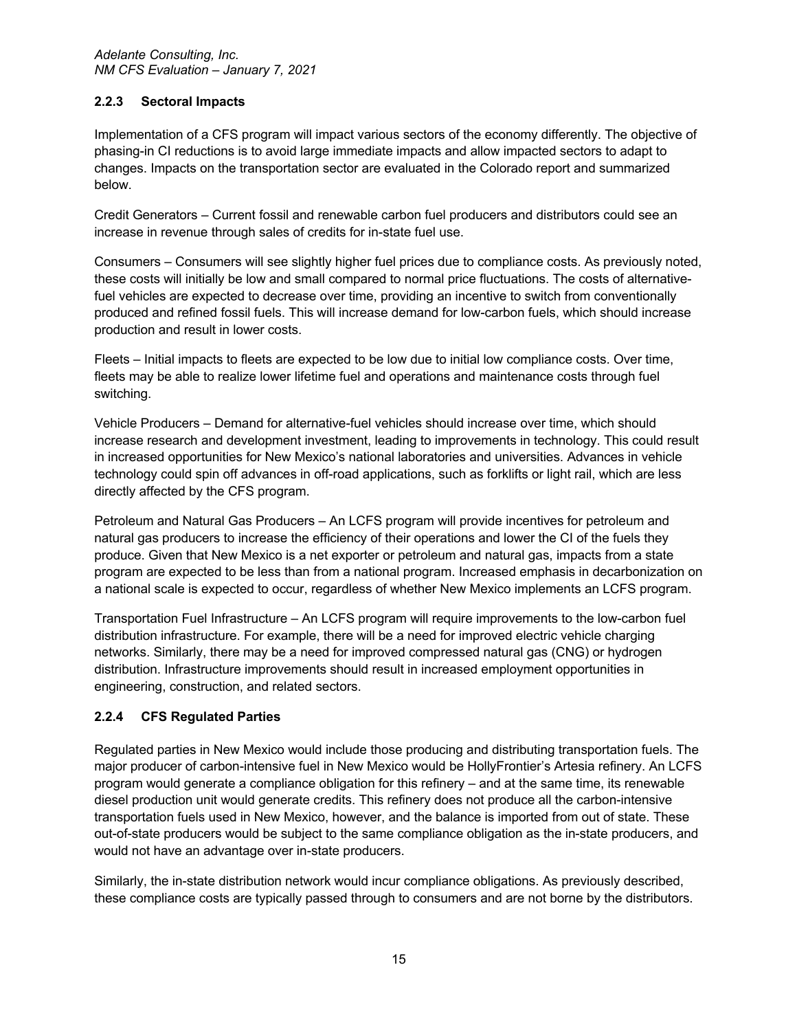## **2.2.3 Sectoral Impacts**

Implementation of a CFS program will impact various sectors of the economy differently. The objective of phasing-in CI reductions is to avoid large immediate impacts and allow impacted sectors to adapt to changes. Impacts on the transportation sector are evaluated in the Colorado report and summarized below.

Credit Generators – Current fossil and renewable carbon fuel producers and distributors could see an increase in revenue through sales of credits for in-state fuel use.

Consumers – Consumers will see slightly higher fuel prices due to compliance costs. As previously noted, these costs will initially be low and small compared to normal price fluctuations. The costs of alternativefuel vehicles are expected to decrease over time, providing an incentive to switch from conventionally produced and refined fossil fuels. This will increase demand for low-carbon fuels, which should increase production and result in lower costs.

Fleets – Initial impacts to fleets are expected to be low due to initial low compliance costs. Over time, fleets may be able to realize lower lifetime fuel and operations and maintenance costs through fuel switching.

Vehicle Producers – Demand for alternative-fuel vehicles should increase over time, which should increase research and development investment, leading to improvements in technology. This could result in increased opportunities for New Mexico's national laboratories and universities. Advances in vehicle technology could spin off advances in off-road applications, such as forklifts or light rail, which are less directly affected by the CFS program.

Petroleum and Natural Gas Producers – An LCFS program will provide incentives for petroleum and natural gas producers to increase the efficiency of their operations and lower the CI of the fuels they produce. Given that New Mexico is a net exporter or petroleum and natural gas, impacts from a state program are expected to be less than from a national program. Increased emphasis in decarbonization on a national scale is expected to occur, regardless of whether New Mexico implements an LCFS program.

Transportation Fuel Infrastructure – An LCFS program will require improvements to the low-carbon fuel distribution infrastructure. For example, there will be a need for improved electric vehicle charging networks. Similarly, there may be a need for improved compressed natural gas (CNG) or hydrogen distribution. Infrastructure improvements should result in increased employment opportunities in engineering, construction, and related sectors.

# **2.2.4 CFS Regulated Parties**

Regulated parties in New Mexico would include those producing and distributing transportation fuels. The major producer of carbon-intensive fuel in New Mexico would be HollyFrontier's Artesia refinery. An LCFS program would generate a compliance obligation for this refinery – and at the same time, its renewable diesel production unit would generate credits. This refinery does not produce all the carbon-intensive transportation fuels used in New Mexico, however, and the balance is imported from out of state. These out-of-state producers would be subject to the same compliance obligation as the in-state producers, and would not have an advantage over in-state producers.

Similarly, the in-state distribution network would incur compliance obligations. As previously described, these compliance costs are typically passed through to consumers and are not borne by the distributors.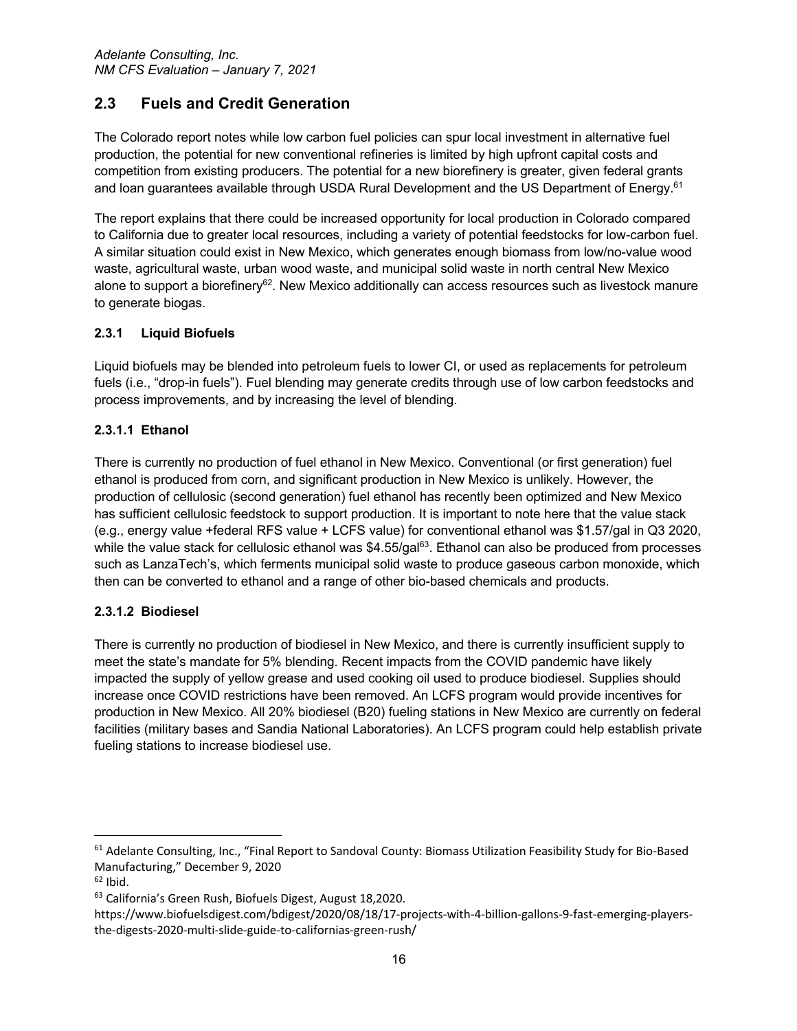# **2.3 Fuels and Credit Generation**

The Colorado report notes while low carbon fuel policies can spur local investment in alternative fuel production, the potential for new conventional refineries is limited by high upfront capital costs and competition from existing producers. The potential for a new biorefinery is greater, given federal grants and loan guarantees available through USDA Rural Development and the US Department of Energy.<sup>61</sup>

The report explains that there could be increased opportunity for local production in Colorado compared to California due to greater local resources, including a variety of potential feedstocks for low-carbon fuel. A similar situation could exist in New Mexico, which generates enough biomass from low/no-value wood waste, agricultural waste, urban wood waste, and municipal solid waste in north central New Mexico alone to support a biorefinery<sup>62</sup>. New Mexico additionally can access resources such as livestock manure to generate biogas.

# **2.3.1 Liquid Biofuels**

Liquid biofuels may be blended into petroleum fuels to lower CI, or used as replacements for petroleum fuels (i.e., "drop-in fuels"). Fuel blending may generate credits through use of low carbon feedstocks and process improvements, and by increasing the level of blending.

# **2.3.1.1 Ethanol**

There is currently no production of fuel ethanol in New Mexico. Conventional (or first generation) fuel ethanol is produced from corn, and significant production in New Mexico is unlikely. However, the production of cellulosic (second generation) fuel ethanol has recently been optimized and New Mexico has sufficient cellulosic feedstock to support production. It is important to note here that the value stack (e.g., energy value +federal RFS value + LCFS value) for conventional ethanol was \$1.57/gal in Q3 2020, while the value stack for cellulosic ethanol was  $$4.55/gal<sup>63</sup>$ . Ethanol can also be produced from processes such as LanzaTech's, which ferments municipal solid waste to produce gaseous carbon monoxide, which then can be converted to ethanol and a range of other bio-based chemicals and products.

# **2.3.1.2 Biodiesel**

There is currently no production of biodiesel in New Mexico, and there is currently insufficient supply to meet the state's mandate for 5% blending. Recent impacts from the COVID pandemic have likely impacted the supply of yellow grease and used cooking oil used to produce biodiesel. Supplies should increase once COVID restrictions have been removed. An LCFS program would provide incentives for production in New Mexico. All 20% biodiesel (B20) fueling stations in New Mexico are currently on federal facilities (military bases and Sandia National Laboratories). An LCFS program could help establish private fueling stations to increase biodiesel use.

 $61$  Adelante Consulting, Inc., "Final Report to Sandoval County: Biomass Utilization Feasibility Study for Bio-Based Manufacturing," December 9, 2020

 $62$  Ibid.

<sup>63</sup> California's Green Rush, Biofuels Digest, August 18,2020.

https://www.biofuelsdigest.com/bdigest/2020/08/18/17-projects-with-4-billion-gallons-9-fast-emerging-playersthe-digests-2020-multi-slide-guide-to-californias-green-rush/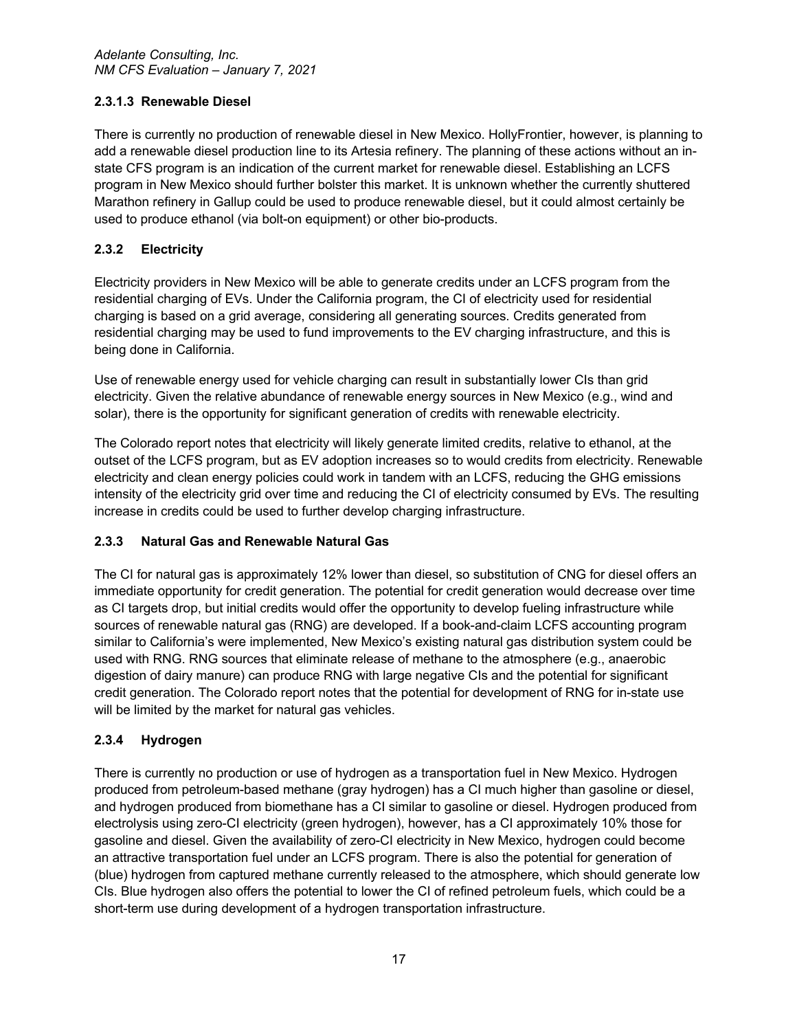# **2.3.1.3 Renewable Diesel**

There is currently no production of renewable diesel in New Mexico. HollyFrontier, however, is planning to add a renewable diesel production line to its Artesia refinery. The planning of these actions without an instate CFS program is an indication of the current market for renewable diesel. Establishing an LCFS program in New Mexico should further bolster this market. It is unknown whether the currently shuttered Marathon refinery in Gallup could be used to produce renewable diesel, but it could almost certainly be used to produce ethanol (via bolt-on equipment) or other bio-products.

# **2.3.2 Electricity**

Electricity providers in New Mexico will be able to generate credits under an LCFS program from the residential charging of EVs. Under the California program, the CI of electricity used for residential charging is based on a grid average, considering all generating sources. Credits generated from residential charging may be used to fund improvements to the EV charging infrastructure, and this is being done in California.

Use of renewable energy used for vehicle charging can result in substantially lower CIs than grid electricity. Given the relative abundance of renewable energy sources in New Mexico (e.g., wind and solar), there is the opportunity for significant generation of credits with renewable electricity.

The Colorado report notes that electricity will likely generate limited credits, relative to ethanol, at the outset of the LCFS program, but as EV adoption increases so to would credits from electricity. Renewable electricity and clean energy policies could work in tandem with an LCFS, reducing the GHG emissions intensity of the electricity grid over time and reducing the CI of electricity consumed by EVs. The resulting increase in credits could be used to further develop charging infrastructure.

# **2.3.3 Natural Gas and Renewable Natural Gas**

The CI for natural gas is approximately 12% lower than diesel, so substitution of CNG for diesel offers an immediate opportunity for credit generation. The potential for credit generation would decrease over time as CI targets drop, but initial credits would offer the opportunity to develop fueling infrastructure while sources of renewable natural gas (RNG) are developed. If a book-and-claim LCFS accounting program similar to California's were implemented, New Mexico's existing natural gas distribution system could be used with RNG. RNG sources that eliminate release of methane to the atmosphere (e.g., anaerobic digestion of dairy manure) can produce RNG with large negative CIs and the potential for significant credit generation. The Colorado report notes that the potential for development of RNG for in-state use will be limited by the market for natural gas vehicles.

# **2.3.4 Hydrogen**

There is currently no production or use of hydrogen as a transportation fuel in New Mexico. Hydrogen produced from petroleum-based methane (gray hydrogen) has a CI much higher than gasoline or diesel, and hydrogen produced from biomethane has a CI similar to gasoline or diesel. Hydrogen produced from electrolysis using zero-CI electricity (green hydrogen), however, has a CI approximately 10% those for gasoline and diesel. Given the availability of zero-CI electricity in New Mexico, hydrogen could become an attractive transportation fuel under an LCFS program. There is also the potential for generation of (blue) hydrogen from captured methane currently released to the atmosphere, which should generate low CIs. Blue hydrogen also offers the potential to lower the CI of refined petroleum fuels, which could be a short-term use during development of a hydrogen transportation infrastructure.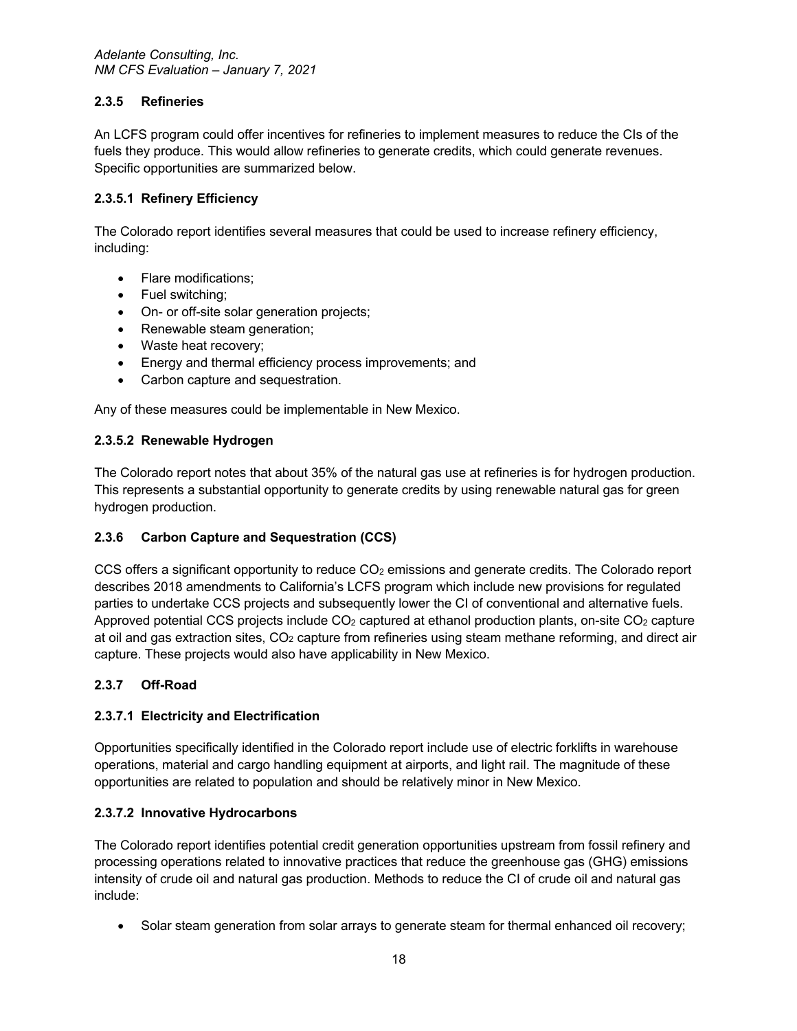## **2.3.5 Refineries**

An LCFS program could offer incentives for refineries to implement measures to reduce the CIs of the fuels they produce. This would allow refineries to generate credits, which could generate revenues. Specific opportunities are summarized below.

## **2.3.5.1 Refinery Efficiency**

The Colorado report identifies several measures that could be used to increase refinery efficiency, including:

- Flare modifications;
- Fuel switching;
- On- or off-site solar generation projects;
- Renewable steam generation;
- Waste heat recovery;
- Energy and thermal efficiency process improvements; and
- Carbon capture and sequestration.

Any of these measures could be implementable in New Mexico.

## **2.3.5.2 Renewable Hydrogen**

The Colorado report notes that about 35% of the natural gas use at refineries is for hydrogen production. This represents a substantial opportunity to generate credits by using renewable natural gas for green hydrogen production.

# **2.3.6 Carbon Capture and Sequestration (CCS)**

CCS offers a significant opportunity to reduce CO<sub>2</sub> emissions and generate credits. The Colorado report describes 2018 amendments to California's LCFS program which include new provisions for regulated parties to undertake CCS projects and subsequently lower the CI of conventional and alternative fuels. Approved potential CCS projects include CO<sub>2</sub> captured at ethanol production plants, on-site CO<sub>2</sub> capture at oil and gas extraction sites, CO<sub>2</sub> capture from refineries using steam methane reforming, and direct air capture. These projects would also have applicability in New Mexico.

# **2.3.7 Off-Road**

# **2.3.7.1 Electricity and Electrification**

Opportunities specifically identified in the Colorado report include use of electric forklifts in warehouse operations, material and cargo handling equipment at airports, and light rail. The magnitude of these opportunities are related to population and should be relatively minor in New Mexico.

#### **2.3.7.2 Innovative Hydrocarbons**

The Colorado report identifies potential credit generation opportunities upstream from fossil refinery and processing operations related to innovative practices that reduce the greenhouse gas (GHG) emissions intensity of crude oil and natural gas production. Methods to reduce the CI of crude oil and natural gas include:

• Solar steam generation from solar arrays to generate steam for thermal enhanced oil recovery;